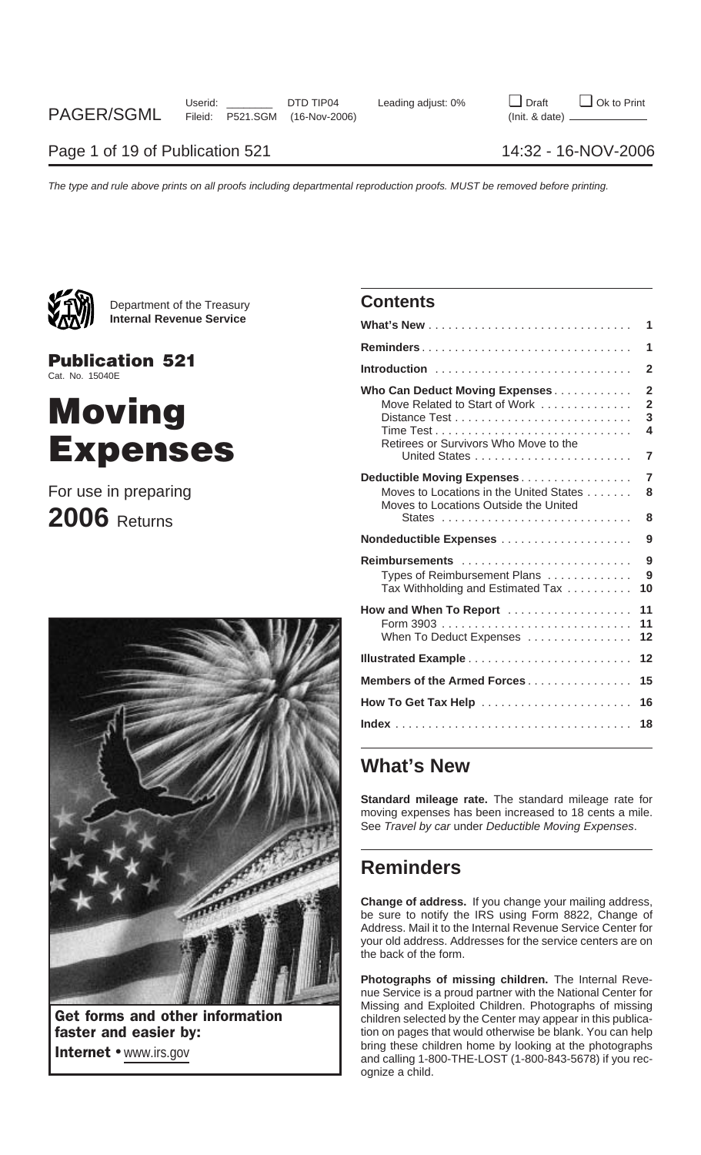

Department of the Treasury **Contents Internal Revenue Service** 

**Publication 521** Cat. No. 15040E

# **Moving** Expenses

## For use in preparing **2006** Returns



|                                                                                                                | 1                                               |
|----------------------------------------------------------------------------------------------------------------|-------------------------------------------------|
|                                                                                                                | 1                                               |
|                                                                                                                | $\overline{2}$                                  |
| Who Can Deduct Moving Expenses<br>Move Related to Start of Work<br>Retirees or Survivors Who Move to the       | $\overline{2}$<br>$\overline{2}$<br>3<br>4<br>7 |
| Deductible Moving Expenses<br>Moves to Locations in the United States<br>Moves to Locations Outside the United | $\overline{7}$<br>8<br>8                        |
| Nondeductible Expenses                                                                                         | 9                                               |
| Reimbursements<br>Types of Reimbursement Plans<br>Tax Withholding and Estimated Tax                            | 9<br>9<br>10                                    |
| How and When To Report<br>When To Deduct Expenses                                                              | 11<br>11<br>12                                  |
|                                                                                                                | 12                                              |
| Members of the Armed Forces                                                                                    | 15                                              |
| How To Get Tax Help                                                                                            | 16                                              |
|                                                                                                                | 18                                              |

## **What's New**

**Standard mileage rate.** The standard mileage rate for moving expenses has been increased to 18 cents a mile. See Travel by car under Deductible Moving Expenses.

## **Reminders**

**Change of address.** If you change your mailing address, be sure to notify the IRS using Form 8822, Change of Address. Mail it to the Internal Revenue Service Center for your old address. Addresses for the service centers are on the back of the form.

**Photographs of missing children.** The Internal Revenue Service is a proud partner with the National Center for Missing and Exploited Children. Photographs of missing Get forms and other information children selected by the Center may appear in this publica-<br>
faster and easier by:<br>  $\begin{array}{r} \hline \text{indren selected by the Center may appear in this public:}\ \text{General data:}\ \text{General data:}\ \text{General data:}\ \text{General data:}\ \text{General data:}\ \text{General data:}\ \text{General data:}\ \text{General data:}\ \text{General data:}\ \text{General data:}\ \text{General data:}\ \text$ fation on pages that would otherwise be blank. You can help bring these children home by looking at the photographs Internet • www.irs.gov and calling these children home by looking at the photographs and calling 1-800-THE-LOST (1-800-843-5678) if you recognize a child.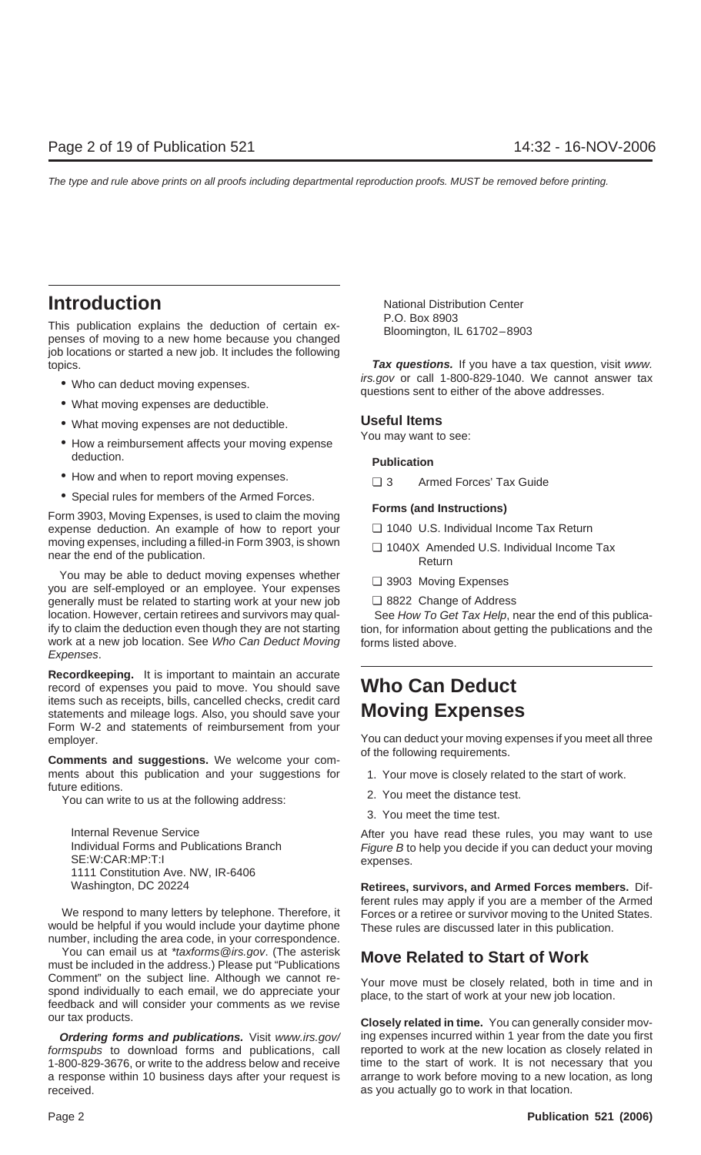This publication explains the deduction of certain ex-<br>
penses of moving to a new home because you changed<br>
Bloomington, IL 61702–8903 job locations or started a new job. It includes the following topics. **Tax questions.** If you have a tax question, visit www.

- 
- What moving expenses are deductible.
- What moving expenses are not deductible. **Useful Items**
- How a reimbursement affects your moving expense deduction. **Publication**
- How and when to report moving expenses.  $\Box$  3 Armed Forces' Tax Guide
- Special rules for members of the Armed Forces.

**Form 3903, Moving Expenses, is used to claim the moving <b>Forms (and Instructions)** expense deduction. An example of how to report your <br>
□ 1040 U.S. Individual Income Tax Return moving expenses, including a filled-in Form 3903, is shown <br>
□ 1040X Amended U.S. Individual Income Tax near the end of the publication.<br>
Return

You may be able to deduct moving expenses whether <br>you are self-employed or an employee. Your expenses <br> generally must be related to starting work at your new job ❏ 8822 Change of Address location. However, certain retirees and survivors may qual-<br>See How To Get Tax Help, near the end of this publicaify to claim the deduction even though they are not starting tion, for information about getting the publications and the work at a new job location. See Who Can Deduct Moving forms listed above. Expenses.

**Recordkeeping.** It is important to maintain an accurate record of expenses you paid to move. You should save **Who Can Deduct** items such as receipts, bills, cancelled checks, credit card statements and mileage logs. Also, you should save your **Moving Expenses** Form W-2 and statements of reimbursement from your

**Comments and suggestions.** We welcome your comments about this publication and your suggestions for 1. Your move is closely related to the start of work.<br>future editions

Future editions.<br>You can write to us at the following address:<br> $\frac{2}{3}$  2. You meet the distance test.

SE:W:CAR:MP:T:I expenses. 1111 Constitution Ave. NW, IR-6406

would be helpful if you would include your daytime phone These rules are discussed later in this publication. number, including the area code, in your correspondence.

You can email us at \**taxforms@irs.gov.* (The asterisk **Move Related to Start of Work** must be included in the address.) Please put "Publications Comment" on the subject line. Although we cannot re-<br>spond individually to each email, we do appreciate your<br>feedback and will consider your comments as we revise<br>feedback and will consider your comments as we revise

formspubs to download forms and publications, call 1-800-829-3676, or write to the address below and receive time to the start of work. It is not necessary that you a response within 10 business days after your request is arrange to work before moving to a new location, as long received. **As you actually go to work in that location.** As you actually go to work in that location.

**Introduction**<br>
P.O. Box 8903

• Who can deduct moving expenses.  $\frac{1}{100}$  irs.gov or call 1-800-829-1040. We cannot answer tax questions sent to either of the above addresses.

- 
- 
- 
- 

employer.<br>
You can deduct your moving expenses if you meet all three<br>
of the following requirements.

- 
- 
- 3. You meet the time test.

Internal Revenue Service<br>
Individual Forms and Publications Branch<br>
Figure B to help you decide if you can deduct your moving Figure B to help you decide if you can deduct your moving

Washington, DC 20224 **Retirees, survivors, and Armed Forces members.** Different rules may apply if you are a member of the Armed We respond to many letters by telephone. Therefore, it Forces or a retiree or survivor moving to the United States.

our tax products. **Closely related in time.** You can generally consider mov-**Ordering forms and publications.** Visit www.irs.gov/ ing expenses incurred within 1 year from the date you first<br>mspubs to download forms and publications, call reported to work at the new location as closely related in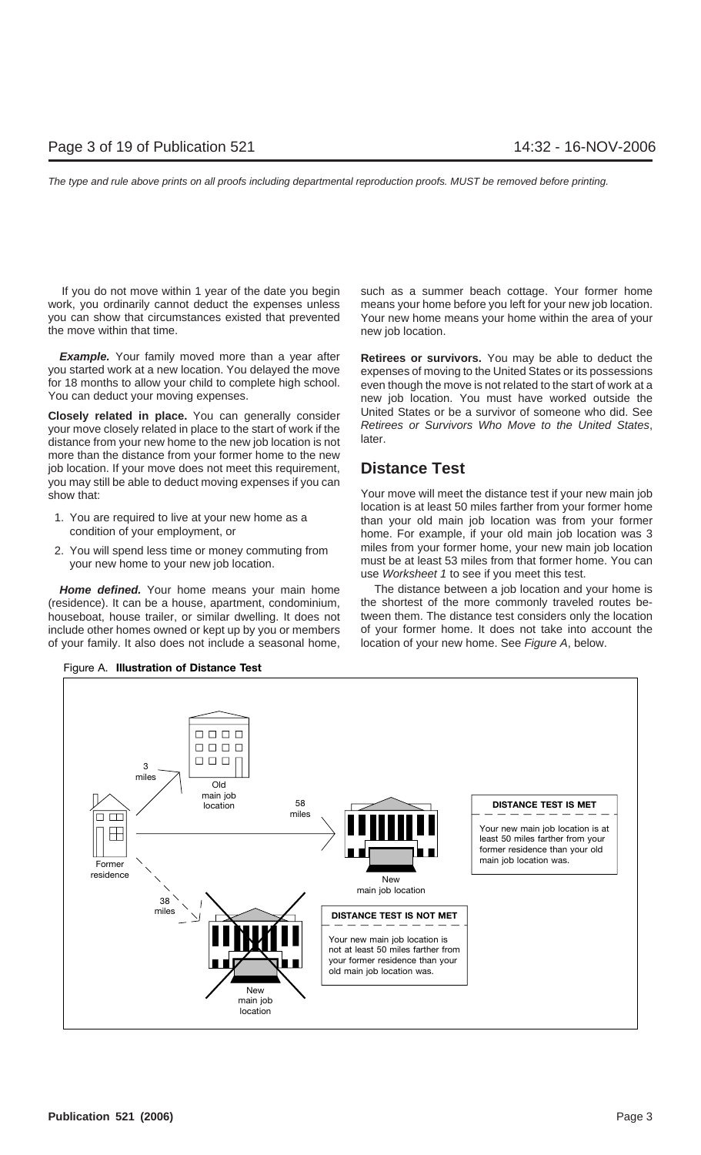work, you ordinarily cannot deduct the expenses unless means your home before you left for your new job location. you can show that circumstances existed that prevented Your new home means your home within the area of your the move within that time. The move within that time.

**Example.** Your family moved more than a year after **Retirees or survivors.** You may be able to deduct the you started work at a new location. You delayed the move expenses of moving to the United States or its possessions

more than the distance from your former home to the new job location. If your move does not meet this requirement, **Distance Test** you may still be able to deduct moving expenses if you can show that: Your move will meet the distance test if your new main job

- 
- 

include other homes owned or kept up by you or members of your former home. It does not take into account the of your family. It also does not include a seasonal home, location of your new home. See Figure A, below.

If you do not move within 1 year of the date you begin such as a summer beach cottage. Your former home

for 18 months to allow your child to complete high school. even though the move is not related to the start of work at a new job location. You must have worked outside the **Closely related in place.** You can generally consider<br>your move closely related in place to the start of work if the<br>distance from your new home to the new job location is not<br>distance from your new home to the new job lo

location is at least 50 miles farther from your former home 1. You are required to live at your new home as a than your old main job location was from your former condition of your employment, or home. For example, if your old main job location was 3 miles from your former home, your new main job location 2. You will spend less time or money commuting from must be at least 53 miles from that former home. You can your new home to your new job location. use Worksheet 1 to see if you meet this test.

Home defined. Your home means your main home The distance between a job location and your home is (residence). It can be a house, apartment, condominium, the shortest of the more commonly traveled routes behouseboat, house trailer, or similar dwelling. It does not tween them. The distance test considers only the location



Figure A. **Illustration of Distance Test**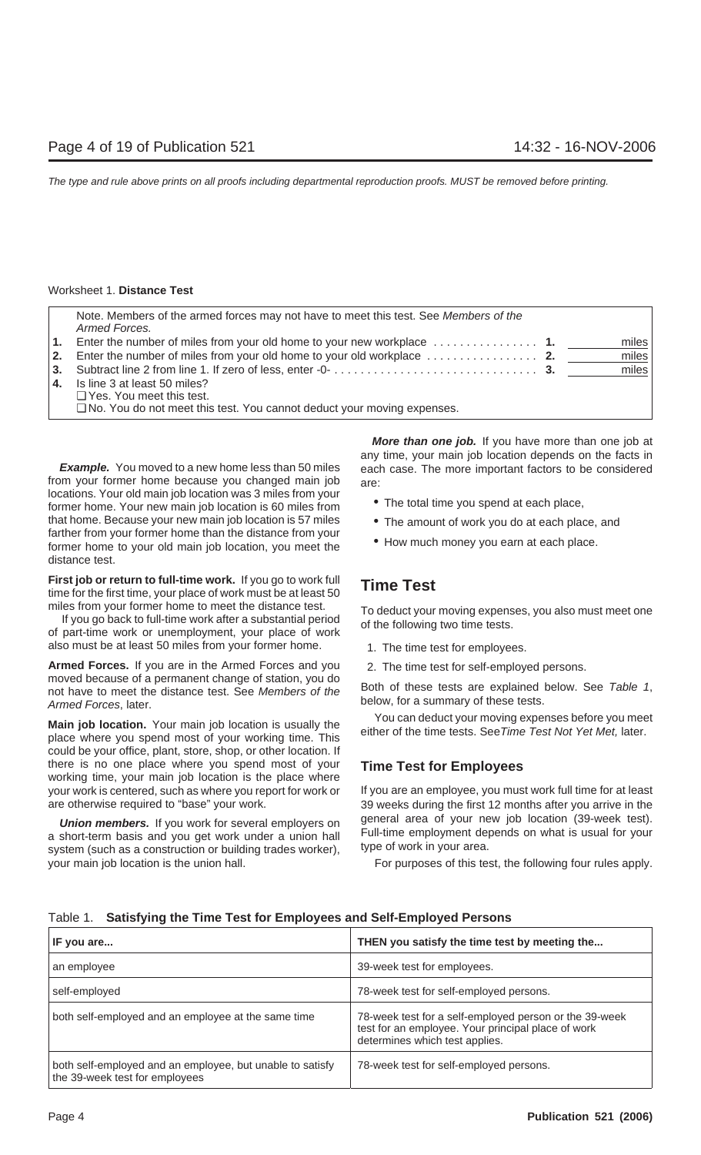| Note. Members of the armed forces may not have to meet this test. See Members of the<br>Armed Forces.                |       |
|----------------------------------------------------------------------------------------------------------------------|-------|
| 1. Enter the number of miles from your old home to your new workplace $\ldots \ldots \ldots \ldots$                  | miles |
| 2. Enter the number of miles from your old home to your old workplace $\ldots \ldots \ldots \ldots$                  | miles |
| 3. Subtract line 2 from line 1. If zero of less, enter -0- $\dots\dots\dots\dots\dots\dots\dots\dots\dots\dots\dots$ | miles |
| 4. Is line 3 at least 50 miles?                                                                                      |       |
| $\Box$ Yes. You meet this test.                                                                                      |       |
| No. You do not meet this test. You cannot deduct your moving expenses.                                               |       |

from your former home because you changed main job  $_{\text{are}}$ : locations. Your old main job location was 3 miles from your<br>former home. Your new main job location is 60 miles from **•** The total time you spend at each place, that home. Because your new main job location is 57 miles • The amount of work you do at each place, and farther from your former home than the distance from your<br>former home to your old main job location, you meet the • H distance test.

**First job or return to full-time work.** If you go to work full **Time Test** time for the first time, your place of work must be at least 50

also must be at least 50 miles from your former home. 1. The time test for employees.

Armed Forces. If you are in the Armed Forces and you 2. The time test for self-employed persons. moved because of a permanent change of station, you do<br>not have to meet the distance test. See Members of the<br>Both of these tests are explained below. See Table 1, below, for a summary of these tests.<br>Armed Forces, later.

Main job location. Your main job location is usually the<br>place where you spend most of your working time. This<br>place where you spend most of your working time. This could be your office, plant, store, shop, or other location. If there is no one place where you spend most of your **Time Test for Employees** working time, your main job location is the place where your work is centered, such as where you report for work or If you are an employee, you must work full time for at least are otherwise required to "base" your work. 39 weeks during the first 12 months after you arrive in the

your main job location is the union hall. For purposes of this test, the following four rules apply.

**More than one job.** If you have more than one job at any time, your main job location depends on the facts in **Example.** You moved to a new home less than 50 miles each case. The more important factors to be considered

- 
- 
- 

miles from your former home to meet the distance test.<br>If you go back to full-time work after a substantial period<br>of the following two time tests.<br>of part-time work or unemployment, your place of work

- 
- 

**Union members.** If you work for several employers on general area of your new job location (39-week test). a short-term basis and you get work under a union hall Full-time employment depends on what is usual for your syst

| IF you are                                                                                  | THEN you satisfy the time test by meeting the                                                                                                  |
|---------------------------------------------------------------------------------------------|------------------------------------------------------------------------------------------------------------------------------------------------|
| an employee                                                                                 | 39-week test for employees.                                                                                                                    |
| self-employed                                                                               | 78-week test for self-employed persons.                                                                                                        |
| both self-employed and an employee at the same time                                         | 78-week test for a self-employed person or the 39-week<br>test for an employee. Your principal place of work<br>determines which test applies. |
| both self-employed and an employee, but unable to satisfy<br>the 39-week test for employees | 78-week test for self-employed persons.                                                                                                        |

## Table 1. **Satisfying the Time Test for Employees and Self-Employed Persons**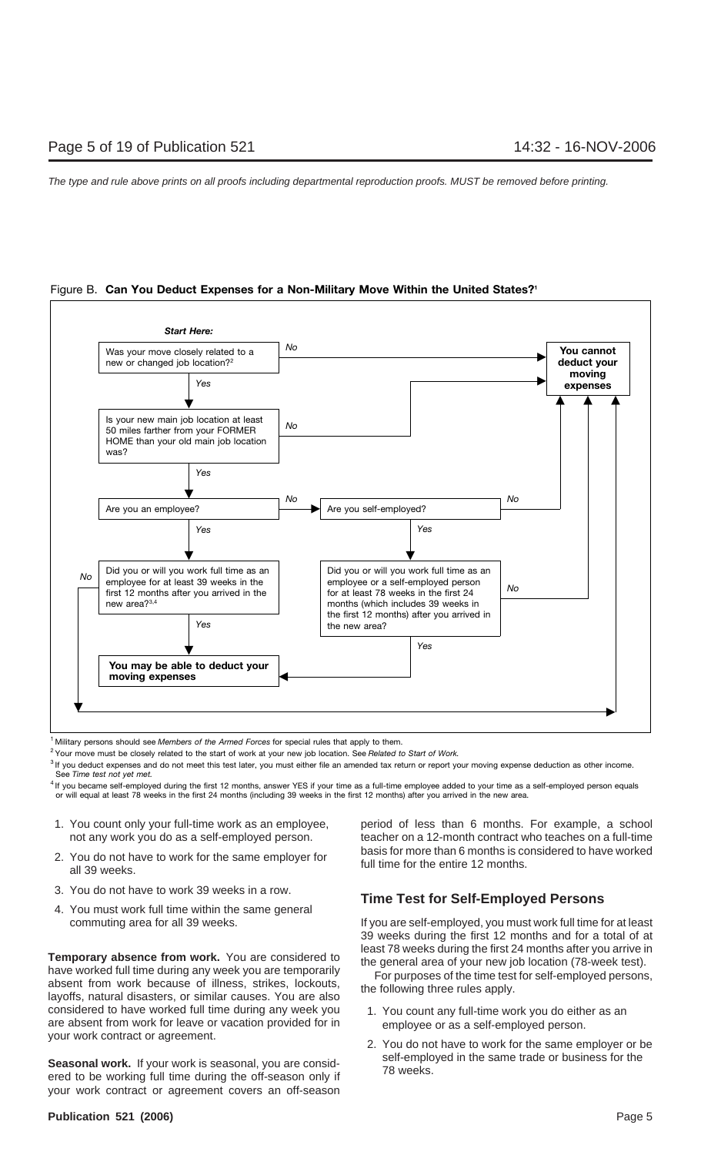



<sup>1</sup> Military persons should see Members of the Armed Forces for special rules that apply to them.

2 Your move must be closely related to the start of work at your new job location. See *Related to Start of Work.*

<sup>3</sup> If you deduct expenses and do not meet this test later, you must either file an amended tax return or report your moving expense deduction as other income. See *Time test not yet met.*

<sup>4</sup> If you became self-employed during the first 12 months, answer YES if your time as a full-time employee added to your time as a self-employed person equals or will equal at least 78 weeks in the first 24 months (including 39 weeks in the first 12 months) after you arrived in the new area.

- 
- 
- 
- 

**Temporary absence from work.** You are considered to<br>have worked full time during any week you are temporarily<br>absent from work because of illness, strikes, lockouts,<br>layoffs, natural disasters, or similar causes. You are considered to have worked full time during any week you 1. You count any full-time work you do either as an are absent from work for leave or vacation provided for in employee or as a self-employed person. your work contract or agreement. 2. You do not have to work for the same employer or be

**Seasonal work.** If your work is seasonal, you are consid-<br>
For the same trade or business for the ered to be working full time during the off-season only if<br> **T8** weeks. your work contract or agreement covers an off-season

1. You count only your full-time work as an employee, period of less than 6 months. For example, a school not any work you do as a self-employed person. teacher on a 12-month contract who teaches on a full-time 2. You do not have to work for the same employer for<br>all 39 weeks.<br>all 139 weeks.

# 3. You do not have to work 39 weeks in a row. **Time Test for Self-Employed Persons** 4. You must work full time within the same general

commuting area for all 39 weeks. If you are self-employed, you must work full time for at least 39 weeks during the first 12 months and for a total of at

- 
- 

## **Publication 521 (2006)** 2008 2009 2012 2022 2023 2024 2022 2023 2024 2022 2023 2024 2022 2023 2024 2022 2023 2024 2022 2023 2024 2022 2023 2024 2022 2023 2024 2022 2023 2024 2022 2023 2024 2023 2024 2023 2024 2023 2024 20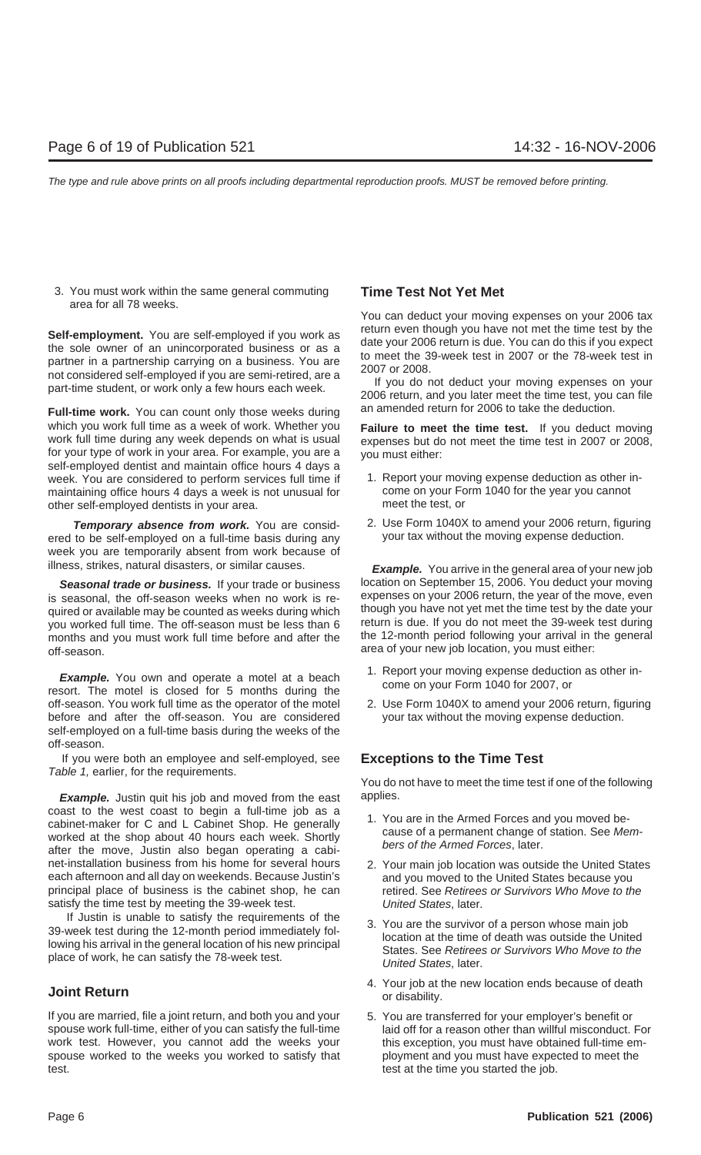3. You must work within the same general commuting **Time Test Not Yet Met** area for all 78 weeks.

**Self-employment.** You are self-employed if you work as<br>the sole owner of an unincorporated business or as a<br>partner in a partnership carrying on a business. You are<br>not considered self-employed if you are semi-retired, ar

Full-time work. You can count only those weeks during an amended return for 2006 to take the deduction. which you work full time as a week of work. Whether you **Failure to meet the time test.** If you deduct moving work full time during any week depends on what is usual expenses but do not meet the time test in 2007 or 2008, for your type of work in your area. For example, you are a you must either: self-employed dentist and maintain office hours 4 days a week. You are considered to perform services full time if 1. Report your moving expense deduction as other in-<br>maintaining office hours 4 days a week is not unusual for come on your Form 1040 for the year you cannot maintaining office hours 4 days a week is not unusual for come on your Form 1040 for the year of the year of the your area other self-employed dentists in your area.

ered to be self-employed on a full-time basis during any week you are temporarily absent from work because of

is seasonal, the off-season weeks when no work is re-<br>quired or available may be counted as weeks during which though you have not yet met the time test by the date your quired or available may be counted as weeks during which though you have not yet met the time test by the date your<br>Vou worked full time. The off-season must be less than 6 feturn is due. If you do not meet the 39-week tes you worked full time. The off-season must be less than 6 return is due. If you do not meet the 39-week test during<br>months and you must work full time before and after the the 12-month period following your arrival in the g months and you must work full time before and after the off-season. area of your new job location, you must either:

**Example.** You own and operate a motel at a beach and sepert your moving expense deduction as other in-<br>resort. The motel is closed for 5 months during the come on your Form 1040 for 2007, or off-season. You work full time as the operator of the motel 2. Use Form 1040X to amend your 2006 return, figuring before and after the off-season. You are considered your tax without the moving expense deduction. self-employed on a full-time basis during the weeks of the off-season.

If you were both an employee and self-employed, see **Exceptions to the Time Test** Table 1, earlier, for the requirements.

**Example.** Justin quit his job and moved from the east applies. coast to the west coast to begin a full-time job as a<br>cabinet-maker for C and L Cabinet Shop. He generally<br>worked at the shop about 40 hours each week. Shortly<br>after the move, Justin also began operating a cabi-<br>after the net-installation business from his home for several hours 2. Your main job location was outside the United States each afternoon and all day on weekends. Because Justin's and you moved to the United States because you principal place of business is the cabinet shop, he can retired. See Retirees or Survivors Who Move to the satisfy the time test by meeting the 39-week test. **United States, later.** 

If Justin is unable to satisfy the requirements of the<br>39-week test during the 12-month period immediately fol-<br>lowing his arrival in the general location of his new principal<br>place of work, he can satisfy the 78-week test

If you are married, file a joint return, and both you and your 5. You are transferred for your employer's benefit or spouse work full-time, either of you can satisfy the full-time laid off for a reason other than willful misconduct. For work test. However, you cannot add the weeks your this exception, you must have obtained full-time emspouse worked to the weeks you worked to satisfy that ployment and you must have expected to meet the test. test at the time you started the job.

You can deduct your moving expenses on your 2006 tax

- 
- **Temporary absence from work.** You are consid-<br>to be self-employed on a full-time basis during any your tax without the moving expense deduction.

illness, strikes, natural disasters, or similar causes. **Example.** You arrive in the general area of your new job Seasonal trade or business. If your trade or business location on September 15, 2006. You deduct your moving

- 
- 

You do not have to meet the time test if one of the following

- 
- 
- 
- **1.** Your job at the new location ends because of death **Joint Return**<br>or disability.
	-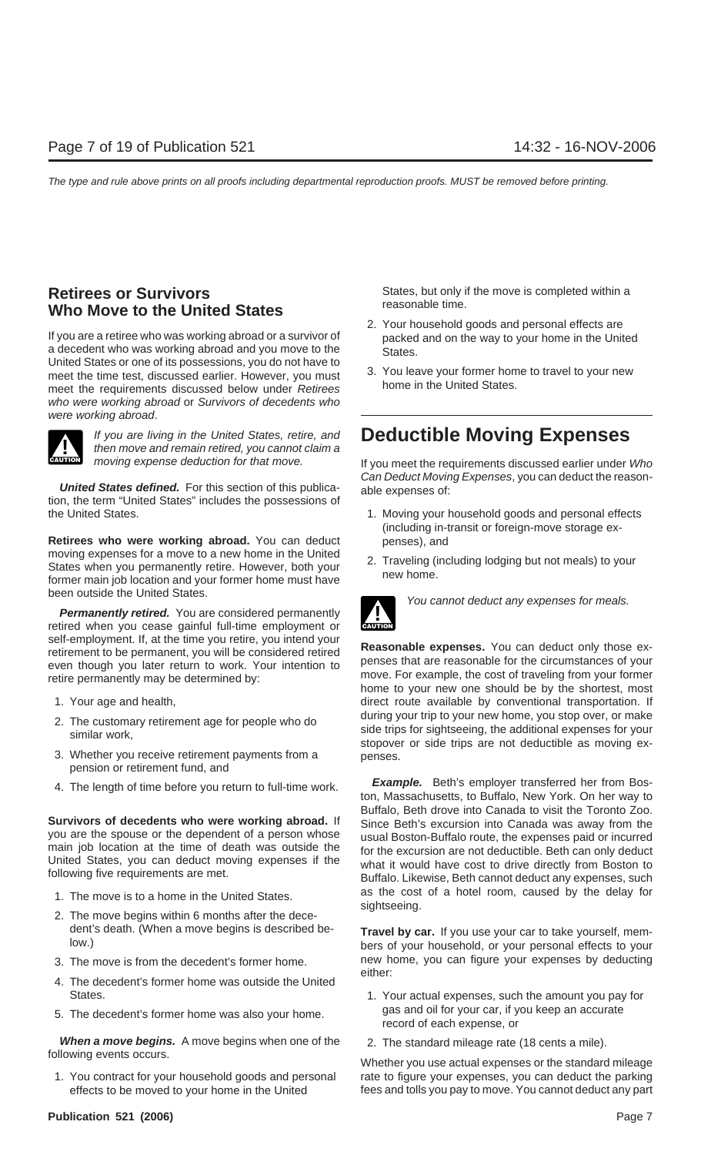# **Who Move to the United States**

If you are a retiree who was working abroad or a survivor of packed and on the way to your home in the United a decedent who was working abroad and you move to the States. United States or one of its possessions, you do not have to meet the time test, discussed earlier. However, you must all the values of the time test, discussed earlier. However, you must all the United States. meet the requirements discussed below under Retirees. who were working abroad or Survivors of decedents who were working abroad.



If you are living in the United States, retire, and **Deductible Moving Expenses** then move and remain retired, you cannot claim a

the United States. 1. Moving your household goods and personal effects

**Retirees who were working abroad.** You can deduct penses), and moving expenses for a move to a new home in the United States when you permanently retire. However, both your<br>former main job location and your former home must have home.<br>former main job location and your former home must have new home. been outside the United States.<br>
You cannot deduct any expenses for meals.

**Permanently retired.** You are considered permanently retired when you cease gainful full-time employment or

- 
- 
- 3. Whether you receive retirement payments from a penses. pension or retirement fund, and
- 

- 
- 2. The move begins within 6 months after the dece-
- 
- 4. The decedent's former home was outside the United States. States. 1. Your actual expenses, such the amount you pay for
- 

**When a move begins.** A move begins when one of the 2. The standard mileage rate (18 cents a mile).<br>following events occurs.

**Retirees or Survivors**<br> **States, but only if the move is completed within a**<br> **States, but only if the move is completed within a**<br> **States, but only if the move is completed within a** 

- 2. Your household goods and personal effects are
- 

moving expense deduction for that move. If you meet the requirements discussed earlier under Who Can Deduct Moving Expenses, you can deduct the reason- **United States defined.** For this section of this publica- able expenses of: tion, the term "United States" includes the possessions of

- (including in-transit or foreign-move storage ex-
- 



self-employment. If, at the time you retire, you intend your<br>retirement to be permanent, you will be considered retired<br>even though you later return to work. Your intention to<br>retire permanently may be determined by:<br>move. 1. Your age and health, the same of the state of the direct route available by conventional transportation. If 2. The customary retirement age for people who do<br>similar work,<br>similar work,<br>stopover or side trips are not deductible as moving ex-

4. The length of time before you return to full-time work.<br>ton, Massachusetts, to Buffalo, New York. On her way to Buffalo, Beth drove into Canada to visit the Toronto Zoo. **Survivors of decedents who were working abroad.** If<br>you are the spouse or the dependent of a person whose<br>main job location at the time of death was outside the<br>United States, you can deduct moving expenses if the<br>followi 1. The move is to a home in the United States.<br>sightseeing.

dent's death. (When a move begins is described be-<br>low.) bers of your household, or your personal effects to your 3. The move is from the decedent's former home. new home, you can figure your expenses by deducting either:

- 5. The decedent's former home was also your home.<br>
Figure or dote each expense, or expense, or
	-

Whether you use actual expenses or the standard mileage 1. You contract for your household goods and personal rate to figure your expenses, you can deduct the parking effects to be moved to your home in the United fees and tolls you pay to move. You cannot deduct any part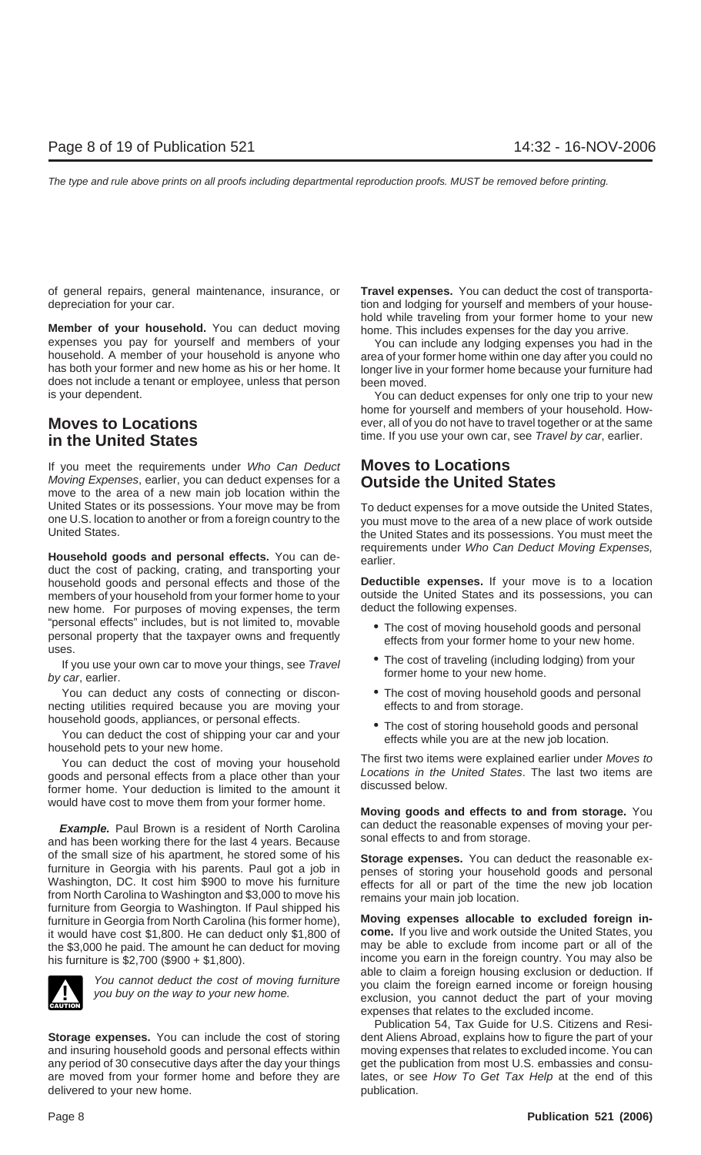of general repairs, general maintenance, insurance, or **Travel expenses.** You can deduct the cost of transportadepreciation for your car. the same of the state of your car. the state of your house-

**Member of your household.** You can deduct moving home. This includes expenses for the day you arrive. expenses you pay for yourself and members of your You can include any lodging expenses you had in the household. A member of your household is anyone who area of your former home within one day after you could no<br>has both your former and new home as his or her home. It longer live in your former home because your furniture does not include a tenant or employee, unless that person been moved.<br>is your dependent.

If you meet the requirements under Who Can Deduct **Moves to Locations** Moving Expenses, earlier, you can deduct expenses for a **Outside the United States** move to the area of a new main job location within the United States or its possessions. Your move may be from To deduct expenses for a move outside the United States,<br>To deduct expenses for a move outside one U.S. location to the United States of a new place of work outside one U.S. location to another or from a foreign country to the you must move to the area of a new place of work outside<br>United States, and its possessions, You must meet the

duct the cost of packing, crating, and transporting your household goods and personal effects and those of the **Deductible expenses.** If your move is to a location members of your household from your former home to your outside the United States and its possessions, you can<br>new home. For purposes of moving expenses, the term deduct the following expenses. new home. For purposes of moving expenses, the term "personal effects" includes, but is not limited to, movable<br>personal property that the taxpayer owns and frequently<br>uses.<br>If you use your own car to move your things, see Travel<br>of the cost of traveling (including lodging)

by car, earlier.

You can deduct any costs of connecting or discon- • The cost of moving household goods and personal necting utilities required because you are moving your effects to and from storage.

household goods, appliances, or personal effects.<br>
You can deduct the cost of shipping your car and your<br>
household pets to your new home.<br>
You can deduct the cost of moving your bousehold<br>
You can deduct the cost of movin

You can deduct the cost of moving your household<br>goods and personal effects from a place other than your<br>former home. Your deduction is limited to the amount it<br>discussed below. would have cost to move them from your former home. **Moving goods and effects to and from storage.** You

and has been working there for the last 4 years. Because of the small size of his apartment, he stored some of his **Storage expenses.** You can deduct the reasonable ex-Furniture in Georgia with his parents. Paul got a job in<br>
Washington, DC. It cost him \$900 to move his furniture<br>
frects for all or part of the time the new job location<br>
from North Carolina to Washington and \$3,000 to mov furniture in Georgia from North Carolina (his former home), **Moving expenses allocable to excluded foreign in-**<br>it would have cost \$1,800. He can deduct only \$1,800 of **come.** If you live and work outside the United States it would have cost \$1,800. He can deduct only \$1,800 of **come.** If you live and work outside the United States, you the \$3,000 he paid. The amount he can deduct for moving



and insuring household goods and personal effects within moving expenses that relates to excluded income. You can any period of 30 consecutive days after the day your things get the publication from most U.S. embassies and consuare moved from your former home and before they are lates, or see How To Get Tax Help at the end of this delivered to your new home. The publication of the publication.

hold while traveling from your former home to your new

longer live in your former home because your furniture had

You can deduct expenses for only one trip to your new home for yourself and members of your household. How-**Moves to Locations** ever, all of you do not have to travel together or at the same in the United States **in the United States in the United States in the United States** 

the United States and its possessions. You must meet the requirements under Who Can Deduct Moving Expenses, **Household goods and personal effects.** You can de- earlier.

- 
- 
- 
- 

**Example.** Paul Brown is a resident of North Carolina can deduct the reasonable expenses of moving your per-<br>In has been working there for the last 4 years. Because sonal effects to and from storage.

his furniture is \$2,700 (\$900 + \$1,800).<br>able to claim a foreign housing exclusion or deduction. If You cannot deduct the cost of moving furniture<br>you claim the foreign earned income or foreign housing<br>exclusion, you cannot deduct the part of your moving expenses that relates to the excluded income.

Publication 54, Tax Guide for U.S. Citizens and Resi-**Storage expenses.** You can include the cost of storing dent Aliens Abroad, explains how to figure the part of your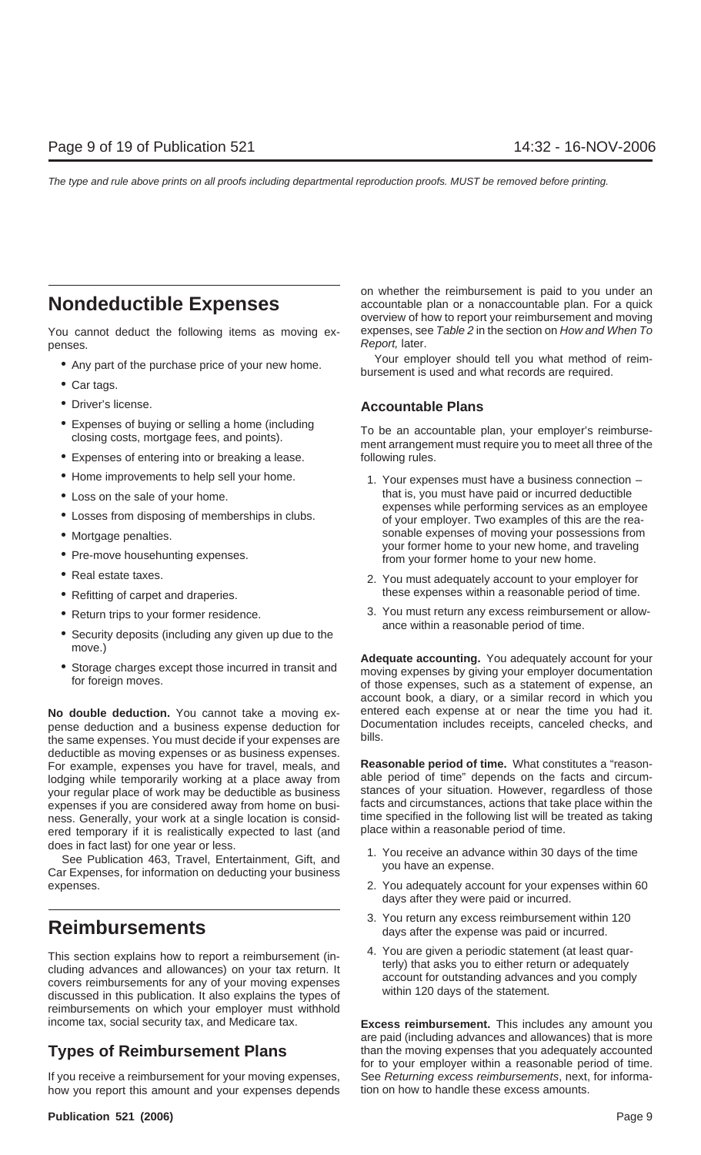penses. Report, later.

- 
- Car tags.
- 
- 
- Expenses of entering into or breaking a lease. Following rules.
- 
- 
- 
- 
- 
- 
- 
- 
- Security deposits (including any given up due to the
- 

pense deduction and a business expense deduction for Documentation includes receipts, canceled checks, points, cancel checks, and checks, cancel checks, canceled checks, and checks, and checks, canceled checks, and checks, the same expenses. You must decide if your expenses are deductible as moving expenses or as business expenses. For example, expenses you have for travel, meals, and **Reasonable period of time.** What constitutes a "reasonlodging while temporarily working at a place away from able period of time" depends on the facts and circum-<br>vour requilar place of work may be deductible as business stances of your situation. However, regardless of those your regular place of work may be deductible as business stances of your situation. However, regardless of those<br>expenses if you are considered away from home on busi- facts and circumstances, actions that take place withi expenses if you are considered away from home on busi-<br>ness. Generally, your work at a single location is consid-<br>time specified in the following list will be treated as taking ness. Generally, your work at a single location is consid-<br>ered temporary if it is realistically expected to last (and blace within a reasonable period of time. ered temporary if it is realistically expected to last (and

does in fact last) for one year or less.<br>See Publication 463, Travel, Entertainment, Gift, and<br>Car Expenses, for information on deducting your business<br>Car Expenses, for information on deducting your business expenses. 2. You adequately account for your expenses within 60

This section explains how to report a reimbursement (in-<br>cluding advances and allowances) on your tax return. It<br>covers reimbursements for any of your moving expenses<br>discussed in this publication. It also explains the typ reimbursements on which your employer must withhold income tax, social security tax, and Medicare tax. **Excess reimbursement.** This includes any amount you

If you receive a reimbursement for your moving expenses, See Returning excess reimbursements, next, for informahow you report this amount and your expenses depends tion on how to handle these excess amounts.

on whether the reimbursement is paid to you under an **Nondeductible Expenses accountable plan or a nonaccountable plan. For a quick** overview of how to report your reimbursement and moving You cannot deduct the following items as moving ex- expenses, see Table 2 in the section on How and When To

• Any part of the purchase price of your new home.<br>bursement is used and what records are required.

## • Driver's license. **Accountable Plans**

• Expenses of buying or selling a home (including To be an accountable plan, your employer's reimburse- closing costs, mortgage fees, and points). ment arrangement must require you to meet all three of the

- Home improvements to help sell your home. 1. Your expenses must have a business connection • Loss on the sale of your home.<br>
• Losses from disposing of memberships in clubs.<br>
• Losses from disposing of memberships in clubs.<br>
• Cosses from disposing of memberships in clubs.<br>
• Gryour employer. Two examples of thi • Mortgage penalties. sonable expenses of moving your possessions from your former home to your new home, and traveling • Pre-move househunting expenses.<br>From your former home to your new home.
- Real estate taxes.  $\bullet$  Real estate taxes. • Refitting of carpet and draperies. these expenses within a reasonable period of time.
- Return trips to your former residence. 3. You must return any excess reimbursement or allow-<br>ance within a reasonable period of time.

move.)<br>• Storage charges except those incurred in transit and<br>for foreign moves.<br>• Those expenses by giving your employer documentation<br>of those expenses, such as a statement of expense, an account book, a diary, or a similar record in which you **No double deduction.** You cannot take a moving ex-<br>pense deduction and a business expense deduction for Documentation includes receipts, canceled checks, and

- 
- days after they were paid or incurred.
- **Reimbursements**<br>**120** all days after the expense was paid or incurred.
	-

are paid (including advances and allowances) that is more **Types of Reimbursement Plans** than the moving expenses that you adequately accounted for to your employer within a reasonable period of time.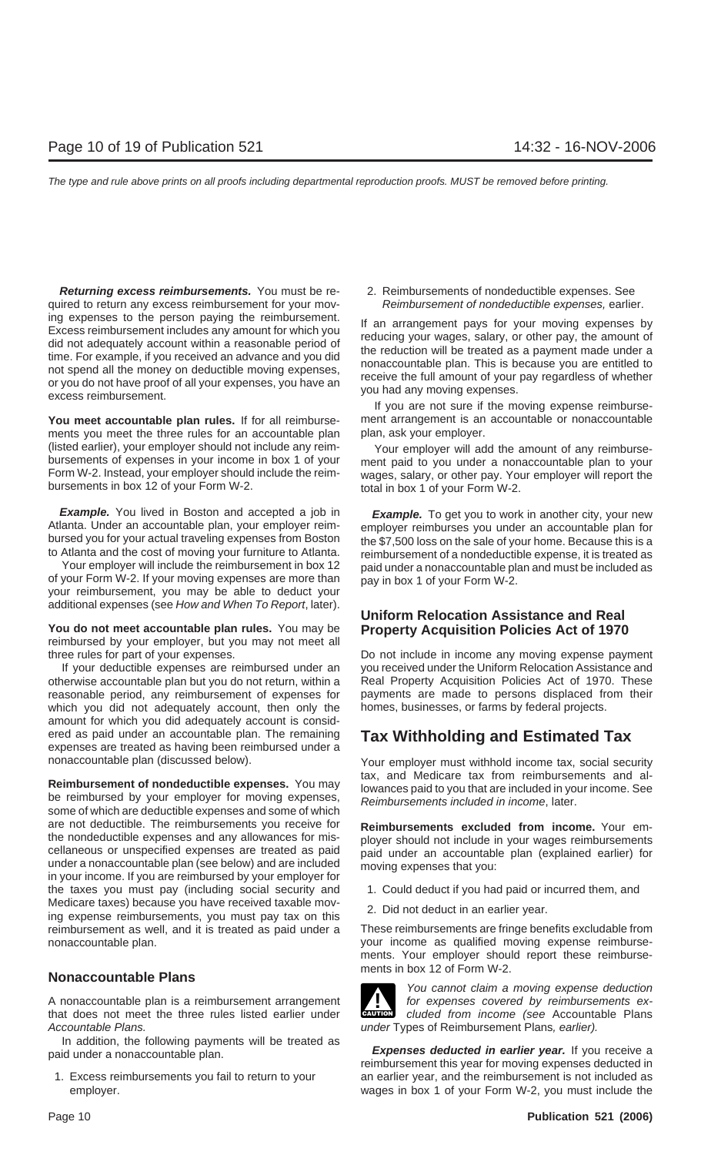**Returning excess reimbursements.** You must be re-<br>2. Reimbursements of nondeductible expenses. See quired to return any excess reimbursement for your mov-<br>Reimbursement of nondeductible expenses, earlier. ing expenses to the person paying the reimbursement.<br>Excess reimbursement includes any amount for which you<br>did not adequately account within a reasonable period of<br>time. For example, if you received an advance and you did

**You meet accountable plan rules.** If for all reimburse-<br>ments you meet the three rules for an accountable plan plan, ask your employer. ments you meet the three rules for an accountable plan (listed earlier), your employer should not include any reim-<br>bursements of expenses in your income in box 1 of your ment paid to you under a nonaccountable plan to your<br>Form W-2. Instead, your employer should include the r

**Example.** You lived in Boston and accepted a job in **Example.** To get you to work in another city, your new Atlanta. Under an accountable plan, your employer reim-<br>Atlanta. Under an accountable plan, your employer reim-

of your Form W-2. If your moving expenses are more than  $\frac{1}{\sqrt{2}}$  pay in box 1 of your Form W-2. your reimbursement, you may be able to deduct your additional expenses (see How and When To Report, later).

**You do not meet accountable plan rules.** You may be **Property Acquisition Policies Act of 1970** reimbursed by your employer, but you may not meet all three rules for part of your expenses. Do not include in income any moving expense payment

otherwise accountable plan but you do not return, within a<br>
reasonable period, any reimbursement of expenses for<br>
payments are made to persons displaced from their<br>
reasonable period, any reimbursement of expenses for<br>
pay reasonable period, any reimbursement of expenses for which you did not adequately account, then only the homes, businesses, or farms by federal projects. amount for which you did adequately account is considered as paid under an accountable plan. The remaining **Tax Withholding and Estimated Tax** expenses are treated as having been reimbursed under a

are not deductible. The reimbursements you receive for **Reimbursements excluded from income.** Your emthe nondeductible expenses and any allowances for mis-<br>cellaneous or unspecified expenses are treated as paid<br>under an accountable plan (explained earlier) for<br>in your income. If you are reimbursed by your employer for<br>in the taxes you must pay (including social security and 1. Could deduct if you had paid or incurred them, and Medicare taxes) because you have received taxable mov-<br>ing expense reimbursements, you must pay tax on this 2. Did not deduct in an earlier year. reimbursement as well, and it is treated as paid under a These reimbursements are fringe benefits excludable from nonaccountable plan. your income as qualified moving expense reimburse-

A nonaccountable plan is a reimbursement arrangement  $\blacksquare$  for expenses covered by reimbursements ex-A nonaccountable plan is a reimbursement arrangement<br>
that does not meet the three rules listed earlier under **CAUTION** cluded from income (see Accountable Plans Accountable Plans. The Countable Plans, earlier). Under Types of Reimbursement Plans, earlier).

In addition, the following payments will be treated as **Expenses deducted in earlier year.** If you receive a paid under a nonaccountable plan. **reformat in the system** of this year for moving expenses deducted in

If you are not sure if the moving expense reimburse-

Form W-2. Instead, your employer should include the reim- wages, salary, or other pay. Your employer will report the bursements in box 12 of your Form W-2. total in box 1 of your Form W-2.

Atlanta. Under an accountable plan, your employer reim-<br>bursed you for your actual traveling expenses from Boston<br>to Atlanta and the cost of moving your furniture to Atlanta.<br>Your employer will include the reimbursement in paid under a nonaccountable plan and must be included as

# **Uniform Relocation Assistance and Real**

If your deductible expenses are reimbursed under an you received under the Uniform Relocation Assistance and

nonaccountable plan (discussed below). Your employer must withhold income tax, social security **Reimbursement of nondeductible expenses.** You may<br>be reimbursed by your employer for moving expenses,<br>some of which are deductible expenses and some of which<br>and some of which<br>are deductible expenses and some of which<br>of

- 
- 

ments. Your employer should report these reimbursements in box 12 of Form W-2. **Nonaccountable Plans**



You cannot claim a moving expense deduction

1. Excess reimbursements you fail to return to your an earlier year, and the reimbursement is not included as employer. wages in box 1 of your Form W-2, you must include the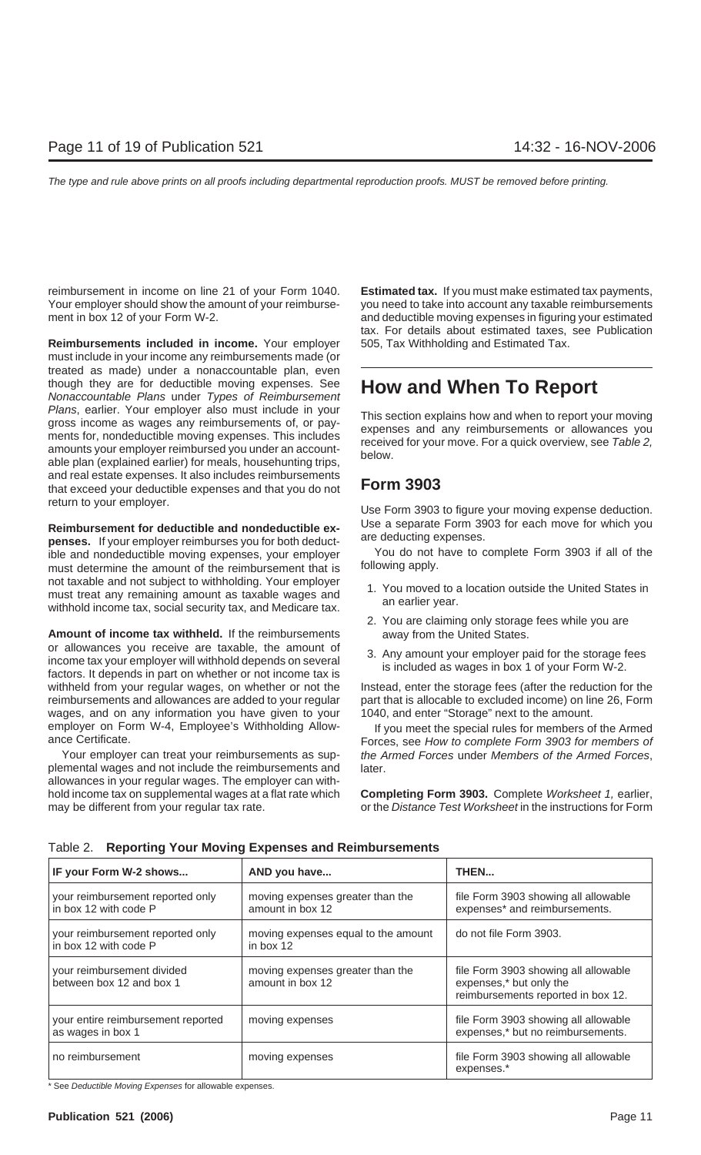reimbursement in income on line 21 of your Form 1040. **Estimated tax.** If you must make estimated tax payments, Your employer should show the amount of your reimburse- you need to take into account any taxable reimbursements ment in box 12 of your Form W-2. and deductible moving expenses in figuring your estimated

**Reimbursements included in income.** Your employer 505, Tax Withholding and Estimated Tax. must include in your income any reimbursements made (or treated as made) under a nonaccountable plan, even though they are for deductible moving expenses. See **How and When To Report** Nonaccountable Plans under Types of Reimbursement Plans, earlier. Your employer also must include in your<br>gross income as wages any reimbursements of, or pay-<br>ments for, nondeductible moving expenses. This includes<br>amounts your employer reimbursed you under an account-<br>ab and real estate expenses. It also includes reimbursements that exceed your deductible expenses and that you do not **Form 3903** return to your employer. Use Form 3903 to figure your moving expense deduction.

**Reimbursement for deductible and nondeductible ex-**<br> **Use a separate Form 3903 for each move for which you**<br> **penses.** If your employer reimburses your employer<br> **Example 1990** Four do not have to complete Form 3903 if al ible and nondeductible moving expenses, your employer You do not l<br>must determine the amount of the reimbursement that is following apply. must determine the amount of the reimbursement that is not taxable and not subject to withholding. Your employer<br>must treat any remaining amount as taxable wages and<br>withhold income tax, social security tax, and Medicare tax. and an earlier year.

**Amount of income tax withheld.** If the reimbursements away from the United States. or allowances you receive are taxable, the amount of<br>income tax your employer will withhold depends on several<br>factors. It depends in part on whether or not income tax is<br>factors. It depends in part on whether or not incom withheld from your regular wages, on whether or not the Instead, enter the storage fees (after the reduction for the reimbursements and allowances are added to your regular part that is allocable to excluded income) on line 26, Form wages, and on any information you have given to your 1040, and enter "Storage" next to the amount. employer on Form W-4, Employee's Withholding Allow-<br>ance Certificate. Forces, see How to complete Form 3903 for members of

plemental wages and not include the reimbursements and later. allowances in your regular wages. The employer can withhold income tax on supplemental wages at a flat rate which **Completing Form 3903.** Complete Worksheet 1, earlier, may be different from your regular tax rate.  $\blacksquare$  or the Distance Test Worksheet in the instructions for Form

tax. For details about estimated taxes, see Publication

- 
- 2. You are claiming only storage fees while you are
- 

Your employer can treat your reimbursements as sup-<br>the Armed Forces,

| IF your Form W-2 shows                                    | AND you have                                         | THEN                                                                                                  |
|-----------------------------------------------------------|------------------------------------------------------|-------------------------------------------------------------------------------------------------------|
| your reimbursement reported only<br>in box 12 with code P | moving expenses greater than the<br>amount in box 12 | file Form 3903 showing all allowable<br>expenses* and reimbursements.                                 |
| your reimbursement reported only<br>in box 12 with code P | moving expenses equal to the amount<br>in box 12     | do not file Form 3903.                                                                                |
| your reimbursement divided<br>between box 12 and box 1    | moving expenses greater than the<br>amount in box 12 | file Form 3903 showing all allowable<br>expenses,* but only the<br>reimbursements reported in box 12. |
| your entire reimbursement reported<br>as wages in box 1   | moving expenses                                      | file Form 3903 showing all allowable<br>expenses,* but no reimbursements.                             |
| no reimbursement                                          | moving expenses                                      | file Form 3903 showing all allowable<br>expenses.*                                                    |

Table 2. **Reporting Your Moving Expenses and Reimbursements**

\* See Deductible Moving Expenses for allowable expenses.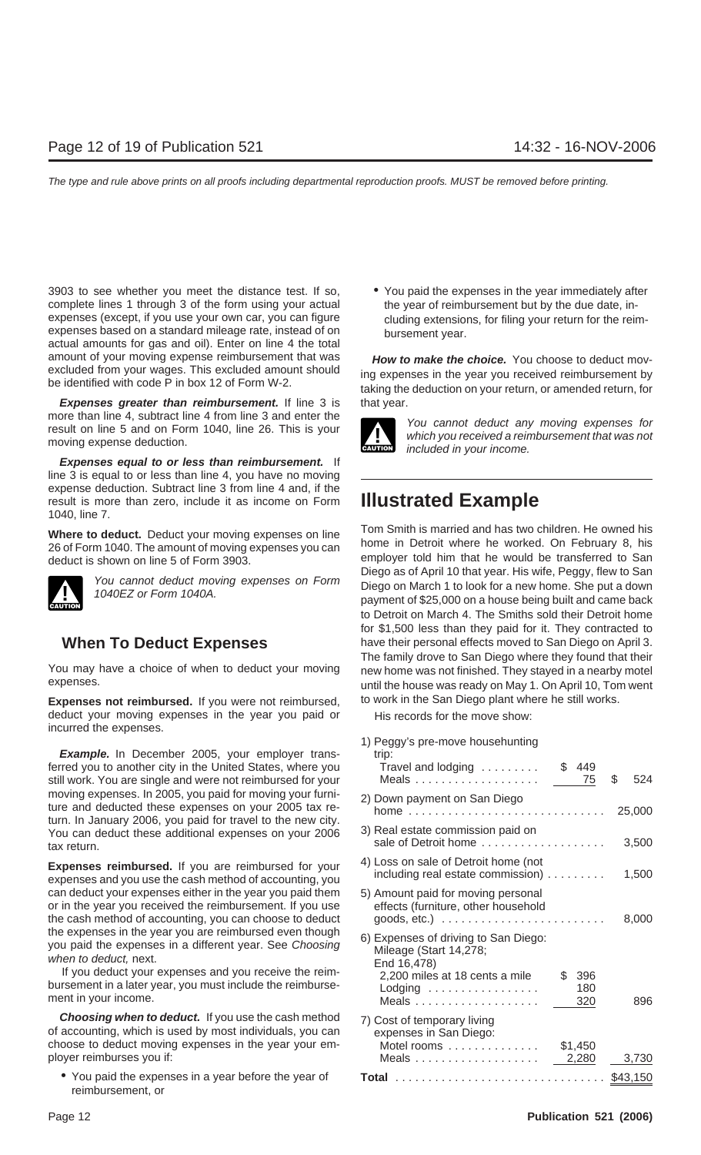3903 to see whether you meet the distance test. If so, • You paid the expenses in the year immediately after complete lines 1 through 3 of the form using your actual the year of reimbursement but by the due date, inexpenses (except, if you use your own car, you can figure cluding extensions, for filing your return for the reimexpenses based on a standard mileage rate, instead of on bursement year. actual amounts for gas and oil). Enter on line 4 the total amount of your moving expense reimbursement that was **How to make the choice.** You choose to deduct mover excluded from your wages. This excluded amount should

**Expenses greater than reimbursement.** If line 3 is that year. more than line 4, subtract line 4 from line 3 and enter the<br>result on line 5 and on Form 1040, line 26. This is your<br>moving expense deduction.<br>the 26. This is your<br>movies which you received a reimbursement that was not<br>inc

**Expenses equal to or less than reimbursement.** If line 3 is equal to or less than line 4, you have no moving expense deduction. Subtract line 3 from line 4 and, if the result is more than zero, include it as income on Form **Illustrated Example** 1040, line 7.



Expenses not reimbursed. If you were not reimbursed, to work in the San Diego plant where he still works. deduct your moving expenses in the year you paid or His records for the move show: incurred the expenses.

**Example.** In December 2005, your employer trans-<br>trip: ferred you to another city in the United States, where you Travel and lodging . . . . . . . . . \$ 449 still work. You are single and were not reimbursed for your Meals  $\ldots \ldots \ldots \ldots \ldots \ldots$   $\qquad \qquad 75 \quad$  \$524 moving expenses. In 2005, you paid for moving your furni-<br>ture and deducted these expenses on your 2005 tax re-<br>turn. In January 2006, you paid for travel to the new city.<br>You can deduct these additional expenses on your 2 You can deduct these additional expenses on your 2006 sale of Detroit home ................... 3,500 tax return.

can deduct your expenses either in the year you paid them 5) Amount paid for moving personal or in the year you received the reimbursement. If you use effects (furniture, other household the cash method of accounting, you can choose to deduct goods, etc.) ......................... 8,000

**Choosing when to deduct.** If you use the cash method 7) Cost of temporary living of accounting, which is used by most individuals, you can expenses in San Diego: choose to deduct moving expenses in the year your em- Motel rooms .............. \$1,450

reimbursement, or

excluded from your wages. This excluded amount should ing expenses in the year you received reimbursement by be identified with code P in box 12 of Form W-2.



**Where to deduct.** Deduct your moving expenses on line<br>26 of Form 1040. The amount of moving expenses you can<br>deduct is shown on line 5 of Form 3903.<br>26 of Form 3903.<br>26 of Form 3903.<br>27 Diego as of April 10 that year. His You cannot deduct moving expenses on Form<br>1040EZ or Form 1040A.<br>payment of \$25,000 on a house being built and came back to Detroit on March 4. The Smiths sold their Detroit home for \$1,500 less than they paid for it. They contracted to **When To Deduct Expenses** have their personal effects moved to San Diego on April 3. The family drove to San Diego where they found that their You may have a choice of when to deduct your moving new home was not finished. They stayed in a nearby motel<br>expenses. until the house was ready on May 1. On April 10, Tom went

1) Peggy's pre-move househunting 4) Loss on sale of Detroit home (not **Expenses reimbursed.** If you are reimbursed for your including real estate commission) ......... 1,500 expenses and you use the cash method of accounting, you the expenses in the year you are reimbursed even though<br>you paid the expenses in a different year. See *Choosing*<br>when to deduct, next.<br>If you deduct your expenses and you receive the reim-<br>bursement in a later year, you m ment in your income. Meals . . . . . . . . . . . . . . . . . . . 320 896 ployer reimburses you if: Meals ................... 2,280 3,730 • You paid the expenses in a year before the year of **Total** ................................ \$43,150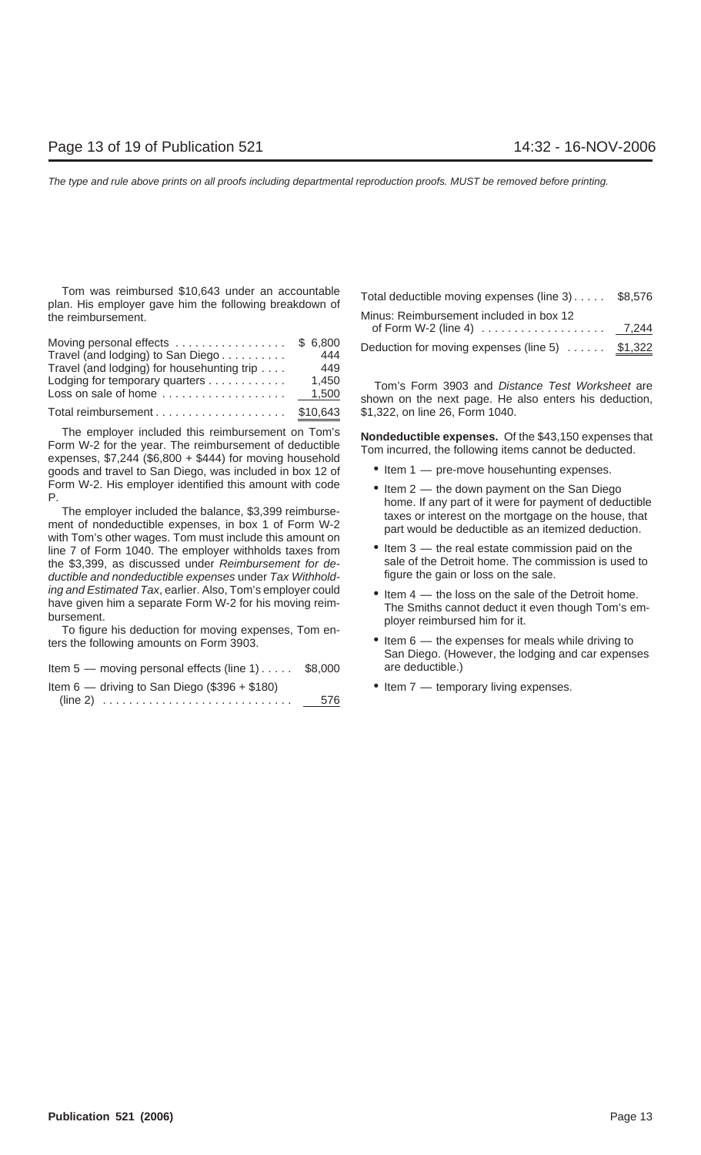Tom was reimbursed \$10,643 under an accountable plan. His employer gave him the following breakdown of the reimbursement.

| Moving personal effects                    | \$ 6,800 |
|--------------------------------------------|----------|
| Travel (and lodging) to San Diego          | 444      |
| Travel (and lodging) for househunting trip | 449      |
| Lodging for temporary quarters             | 1.450    |
| Loss on sale of home                       | 1,500    |
| Total reimbursement \$10,643               |          |

The employer included this reimbursement on Tom's<br>
Form W-2 for the year. The reimbursement of deductible<br>
expenses, \$7,244 (\$6,800 + \$444) for moving household<br>
goods and travel to San Diego was included in box 12 of<br>
e goods and travel to San Diego, was included in box 12 of

with Tom's other wages. Tom must include this amount on<br>line 7 of Form 1040. The employer withholds taxes from <br>the \$3.399 as discussed under *Reimbursement for de* sale of the Detroit home. The commission is used to the \$3,399, as discussed under *Reimbursement for de-* sale of the Detroit home. The commission is used to independent of the sale. ductible and nondeductible expenses under Tax Withholding and Estimated Tax, earlier. Also, Tom's employer could <br>
inve given him a separate Form W-2 for his moving reim-<br>
The Smiths cannot deduct it even though Tom's em-

have given his deduction for moving expenses, Tom en-<br>The Smiths cannot deduct it.<br>ployer reimbursed him for it. ters the following amounts on Form 3903. • **•** Item 6 — the expenses for meals while driving to

| Item $5$ — moving personal effects (line 1) $\dots$ \$8,000 |     |
|-------------------------------------------------------------|-----|
| Item $6$ — driving to San Diego (\$396 + \$180)             |     |
|                                                             | 576 |

| Total deductible moving expenses (line 3) \$8,576 |  |
|---------------------------------------------------|--|
| Minus: Reimbursement included in box 12           |  |
|                                                   |  |
| Deduction for moving expenses (line 5)  \$1,322   |  |

Tom's Form 3903 and Distance Test Worksheet are shown on the next page. He also enters his deduction, \$1,322, on line 26, Form 1040.

- 
- Form W-2. His employer identified this amount with code<br>
P.<br>
The employer included the balance, \$3,399 reimburse-<br>
ment of nondeductible expenses, in box 1 of Form W-2<br>
with Tom's other wages. Tom must include this amount
	-
	-
	- San Diego. (However, the lodging and car expenses are deductible.)
	- $\bullet$  Item 7 temporary living expenses.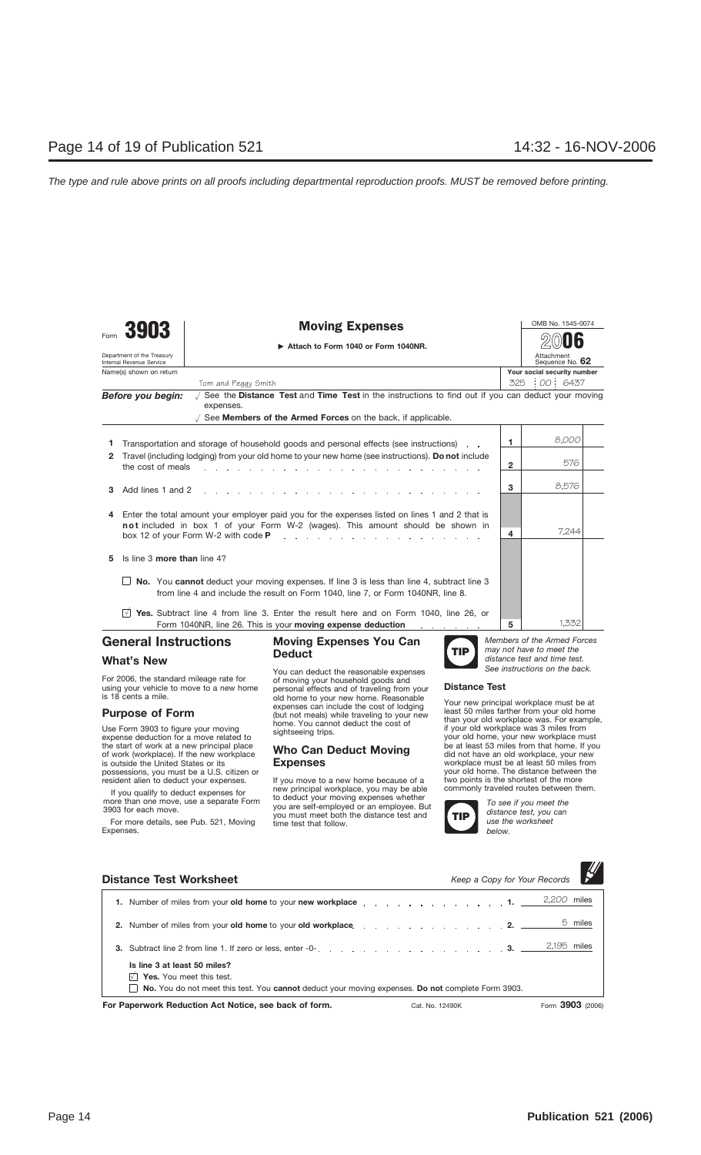|      | 3903                                                   | <b>Moving Expenses</b>                                                                                                                                                                                               |     | OMB No. 1545-0074             |  |
|------|--------------------------------------------------------|----------------------------------------------------------------------------------------------------------------------------------------------------------------------------------------------------------------------|-----|-------------------------------|--|
| Form |                                                        | Attach to Form 1040 or Form 1040NR.                                                                                                                                                                                  |     |                               |  |
|      | Department of the Treasury<br>Internal Revenue Service |                                                                                                                                                                                                                      |     | Attachment<br>Sequence No. 62 |  |
|      | Name(s) shown on return                                |                                                                                                                                                                                                                      |     | Your social security number   |  |
|      |                                                        | Tom and Peggy Smith                                                                                                                                                                                                  | 325 | 00 6437                       |  |
|      | Before you begin:                                      | $\sqrt{ }$ See the Distance Test and Time Test in the instructions to find out if you can deduct your moving<br>expenses.                                                                                            |     |                               |  |
|      |                                                        | $\sqrt{2}$ See <b>Members of the Armed Forces</b> on the back, if applicable.                                                                                                                                        |     |                               |  |
|      |                                                        | Transportation and storage of household goods and personal effects (see instructions).                                                                                                                               | 1   | 8.000                         |  |
| 2    | the cost of meals                                      | Travel (including lodging) from your old home to your new home (see instructions). Do not include<br>the contract of the contract of the contract of the contract of the contract of the contract of the contract of | 2   | 576                           |  |
| 3    | Add lines 1 and 2                                      |                                                                                                                                                                                                                      | 3   | 8.576                         |  |
| 4    |                                                        | Enter the total amount your employer paid you for the expenses listed on lines 1 and 2 that is                                                                                                                       |     |                               |  |
|      |                                                        | not included in box 1 of your Form W-2 (wages). This amount should be shown in<br>box 12 of your Form W-2 with code P<br>and a straightful and a straight and                                                        | 4   | 7.244                         |  |
| 5    | Is line 3 more than line 4?                            |                                                                                                                                                                                                                      |     |                               |  |
|      |                                                        | No. You cannot deduct your moving expenses. If line 3 is less than line 4, subtract line 3<br>from line 4 and include the result on Form 1040, line 7, or Form 1040NR, line 8.                                       |     |                               |  |
|      | $\sqrt{}$                                              | Yes. Subtract line 4 from line 3. Enter the result here and on Form 1040, line 26, or<br>Form 1040NR, line 26. This is your moving expense deduction<br>and a straight and a straight                                | 5   | 1.332                         |  |

## **General Instructions**

### **What's New**

For 2006, the standard mileage rate for using your vehicle to move to a new home is 18 cents a mile.

## **Purpose of Form**

Use Form 3903 to figure your moving expense deduction for a move related to the start of work at a new principal place of work (workplace). If the new workplace is outside the United States or its possessions, you must be a U.S. citizen or resident alien to deduct your expenses.

If you qualify to deduct expenses for more than one move, use a separate Form 3903 for each move.

For more details, see Pub. 521, Moving Expenses.

### **Moving Expenses You Can Deduct**

You can deduct the reasonable expenses of moving your household goods and personal effects and of traveling from your old home to your new home. Reasonable expenses can include the cost of lodging (but not meals) while traveling to your new home. You cannot deduct the cost of sightseeing trips.

## **Who Can Deduct Moving Expenses**

If you move to a new home because of a new principal workplace, you may be able to deduct your moving expenses whether you are self-employed or an employee. But you must meet both the distance test and time test that follow.



*Members of the Armed Forces may not have to meet the distance test and time test. See instructions on the back.*

### **Distance Test**

Your new principal workplace must be at least 50 miles farther from your old home than your old workplace was. For example, if your old workplace was 3 miles from your old home, your new workplace must be at least 53 miles from that home. If you did not have an old workplace, your new workplace must be at least 50 miles from your old home. The distance between the two points is the shortest of the more commonly traveled routes between them.



*To see if you meet the distance test, you can use the worksheet below.*

| <b>Distance Test Worksheet</b>                                                                                                                                                                                                | Keep a Copy for Your Records        |
|-------------------------------------------------------------------------------------------------------------------------------------------------------------------------------------------------------------------------------|-------------------------------------|
| 1. Number of miles from your old home to your new workplace response to the control of the control of the control of the control of the control of the control of the control of the control of the control of the control of | 2.200 miles                         |
| 2. Number of miles from your old home to your old workplace. 2.                                                                                                                                                               | 5 miles                             |
| 3. Subtract line 2 from line 1. If zero or less, enter -0-                                                                                                                                                                    | 2,195 miles                         |
| Is line 3 at least 50 miles?<br>Yes. You meet this test.<br>$\Box$ No. You do not meet this test. You cannot deduct your moving expenses. Do not complete Form 3903.                                                          |                                     |
| For Paperwork Reduction Act Notice, see back of form.                                                                                                                                                                         | Form 3903 (2006)<br>Cat. No. 12490K |

 $^{\prime\prime}$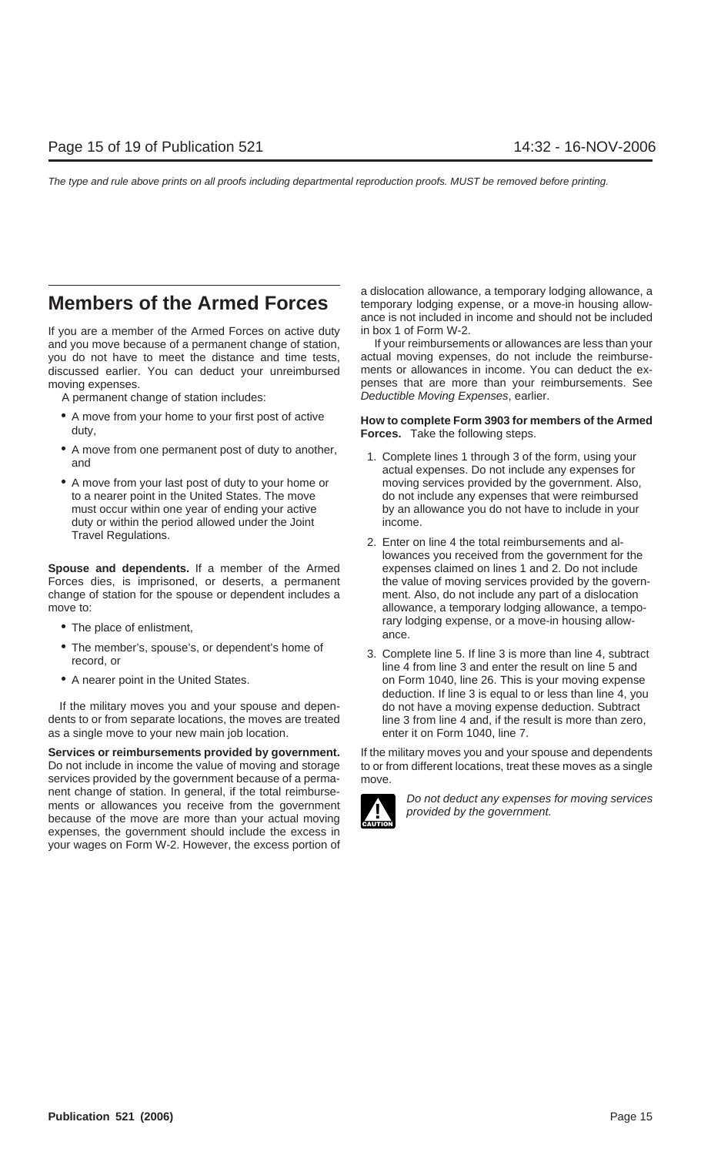If you are a member of the Armed Forces on active duty in box 1 of Form W-2. and you move because of a permanent change of station, If your reimbursements or allowances are less than your<br>vou do not have to meet the distance and time tests, actual moving expenses, do not include the reimburseyou do not have to meet the distance and time tests, actual moving expenses, do not include the reimburse-<br>discussed earlier. You can deduct your unreimbursed a ments or allowances in income. You can deduct the exdiscussed earlier. You can deduct your unreimbursed

A permanent change of station includes: Deductible Moving Expenses, earlier.

- 
- A move from one permanent post of duty to another, and actual expenses. Do not include any expenses for actual expenses. Do not include any expenses for
- duty or within the period allowed under the Joint income. Travel Regulations. 2. Enter on line 4 the total reimbursements and al-

**Spouse and dependents.** If a member of the Armed expenses claimed on lines 1 and 2. Do not include Forces dies, is imprisoned, or deserts, a permanent the value of moving services provided by the governchange of station for the spouse or dependent includes a ment. Also, do not include any part of a dislocation move to: **allowance**, a temporary lodging allowance, a tempo-

- 
- 
- 

If the military moves you and your spouse and depen- do not have a moving expense deduction. Subtract dents to or from separate locations, the moves are treated line 3 from line 4 and, if the result is more than zero, as a single move to your new main job location. enter it on Form 1040, line 7.

**Services or reimbursements provided by government.** If the military moves you and your spouse and dependents Do not include in income the value of moving and storage to or from different locations, treat these moves as a single services provided by the government because of a perma- move. nent change of station. In general, if the total reimburse-<br>ments or allowances you receive from the government<br>because of the move are more than your actual moving<br>movided by the government. expenses, the government should include the excess in your wages on Form W-2. However, the excess portion of

a dislocation allowance, a temporary lodging allowance, a **Members of the Armed Forces** temporary lodging expense, or a move-in housing allowance is not included in income and should not be included

moving expenses. penses that are more than your reimbursements. See

## • A move from your home to your first post of active **How to complete Form 3903 for members of the Armed** duty, **Forces.** Take the following steps.

- A move from your last post of duty to your home or moving services provided by the government. Also, to a nearer point in the United States. The move do not include any expenses that were reimbursed must occur within one year of ending your active by an allowance you do not have to include in your
- lowances you received from the government for the rary lodging expense, or a move-in housing allow- • The place of enlistment, ance.
- The member's, spouse's, or dependent's home of 3. Complete line 5. If line 3 is more than line 4, subtract record, or line 5 and enter the result on line 5 and • A nearer point in the United States. **on Form 1040, line 26. This is your moving expense** deduction. If line 3 is equal to or less than line 4, you

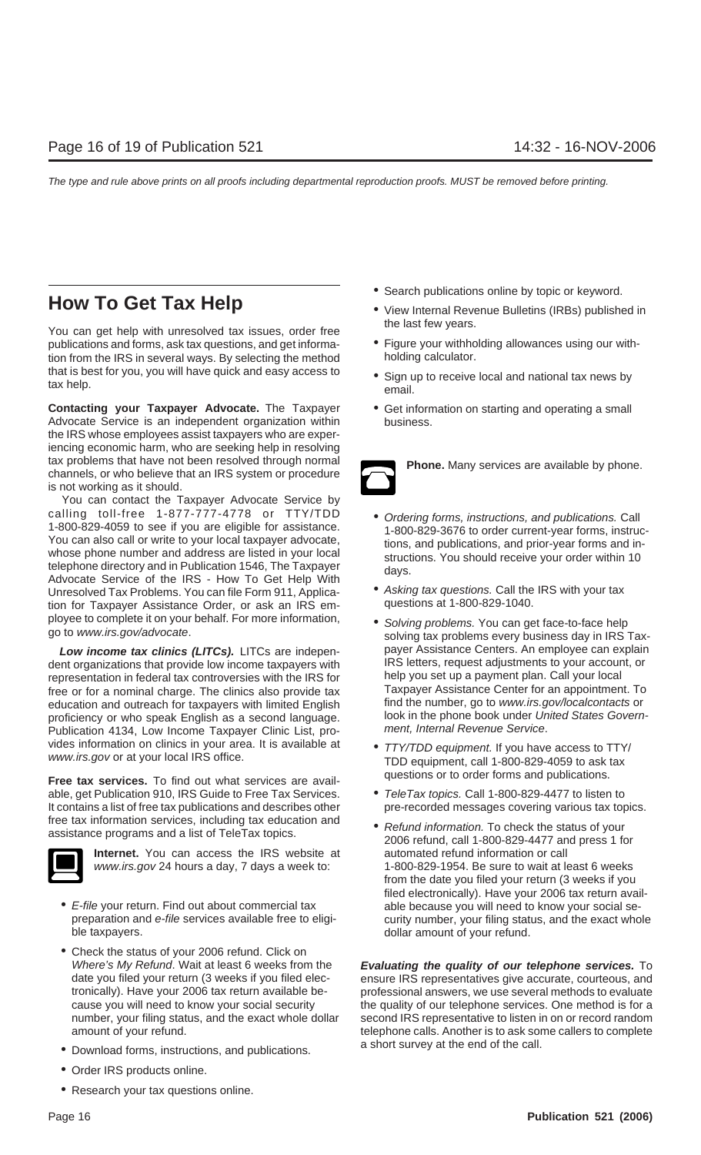## **How To Get Tax Help** • View Internal Revenue Bulletins (IRBs) published in

You can get help with unresolved tax issues, order free<br>bublications and forms, ask tax questions, and get informa-<br>Figure your withholding allowances using our withpublications and forms, ask tax questions, and get informa-<br>
figure your withhold in the IRS in several ways. By selecting the method holding calculator. tion from the IRS in several ways. By selecting the method that is best for you, you will have quick and easy access to  $\bullet$  Sign up to receive local and national tax news by tax help.

**Contacting your Taxpayer Advocate.** The Taxpayer • Get information on starting and operating a small Advocate Service is an independent organization within business. the IRS whose employees assist taxpayers who are experiencing economic harm, who are seeking help in resolving tax problems that have not been resolved through normal<br>channels, or who believe that an IRS system or procedure<br> $\sum$ is not working as it should.

You can contact the Taxpayer Advocate Service by calling toll-free 1-877-777-4778 or  $TY/TDD$   $\bullet$  Ordering forms, instructions, and publications. Call 1-800-829-4059 to see if you are eligible for assistance. 1-800-829-4059 to see if you are eligible for assistance.<br>
You can also call or write to your local taxpayer advocate,<br>
whose phone number and address are listed in your local<br>
telephone directory and in Publication 1546, Advocate Service of the IRS - How To Get Help With<br>Unresolved Tax Problems. You can file Form 911, Applica-<br>
tion for Taxpayer Assistance Order or ask an IRS em-<br>
questions at 1-800-829-1040. tion for Taxpayer Assistance Order, or ask an IRS employee to complete it on your behalf. For more information,<br>go to www.irs.gov/advocate. solving tax problems every business day in IRS Tax-

dent organizations that provide low income taxpayers with IRS letters, request adjustments to your account representation in federal tax controversies with the IRS for help you set up a payment plan. Call your local representation in federal tax controversies with the IRS for help you set up a payment plan. Call your local<br>free or for a nominal charge. The clinics also provide tax Taxpayer Assistance Center for an appointment. To free or for a nominal charge. The clinics also provide tax Taxpayer Assistance Center for an appointment. To<br>
education and outreach for taxpayers with limited Fnglish find the number, go to www.irs.gov/localcontacts or education and outreach for taxpayers with limited English find the number, go to www.irs.gov/localcontacts or<br>proficiency or who speak English as a second language look in the phone book under United States Governproficiency or who speak English as a second language. look in the phone book under United States Govern-<br>Publication 4134, Low Income Taxpayer Clinic List pro-<br>ment. Internal Revenue Service. Publication 4134, Low Income Taxpayer Clinic List, provides information on clinics in your area. It is available at • TTY/TDD equipment. If you have access to TTY/<br>www.irs.gov or at your local IRS office. TDD equipment, call 1-800-829-4059 to ask tax

questions or to order forms and publications. **Free tax services.** To find out what services are available, get Publication 910, IRS Guide to Free Tax Services. • TeleTax topics. Call 1-800-829-4477 to listen to<br>It contains a list of free tax publications and describes other pre-recorded messages covering various tax topic It contains a list of free tax publications and describes other free tax information services, including tax education and<br>assistance programs and a list of TeleTax topics.<br>2006 refund, call 1-800-829-4477 and press 1 for



**Internet.** You can access the IRS website at automated refund information or call

- E-file your return. Find out about commercial tax able because you will need to know your social seble taxpayers. **dollar amount of your refund.**
- Check the status of your 2006 refund. Click on<br>Where's My Refund. Wait at least 6 weeks from the
- Download forms, instructions, and publications.  $\blacksquare$  a short survey at the end of the call.
- Order IRS products online.
- Research your tax questions online.
- Search publications online by topic or keyword.
- 
- 
- 
- 



- 
- 
- **Low income tax clinics (LITCs).** LITCs are indepen-<br>IRS letters, request adjustments to your account, or having the vincome taxpayers with last littlers, request adjustments to your account, or
	-
	-
	- www.irs.gov 24 hours a day, 7 days a week to: 1-800-829-1954. Be sure to wait at least 6 weeks from the date you filed your return (3 weeks if you filed electronically). Have your 2006 tax return avail preparation and e-file services available free to eligi- curity number, your filing status, and the exact whole

**Evaluating the quality of our telephone services.** To date you filed your return (3 weeks if you filed elec- ensure IRS representatives give accurate, courteous, and tronically). Have your 2006 tax return available be- professional answers, we use several methods to evaluate cause you will need to know your social security the quality of our telephone services. One method is for a number, your filing status, and the exact whole dollar second IRS representative to listen in on or record random amount of your refund. telephone calls. Another is to ask some callers to complete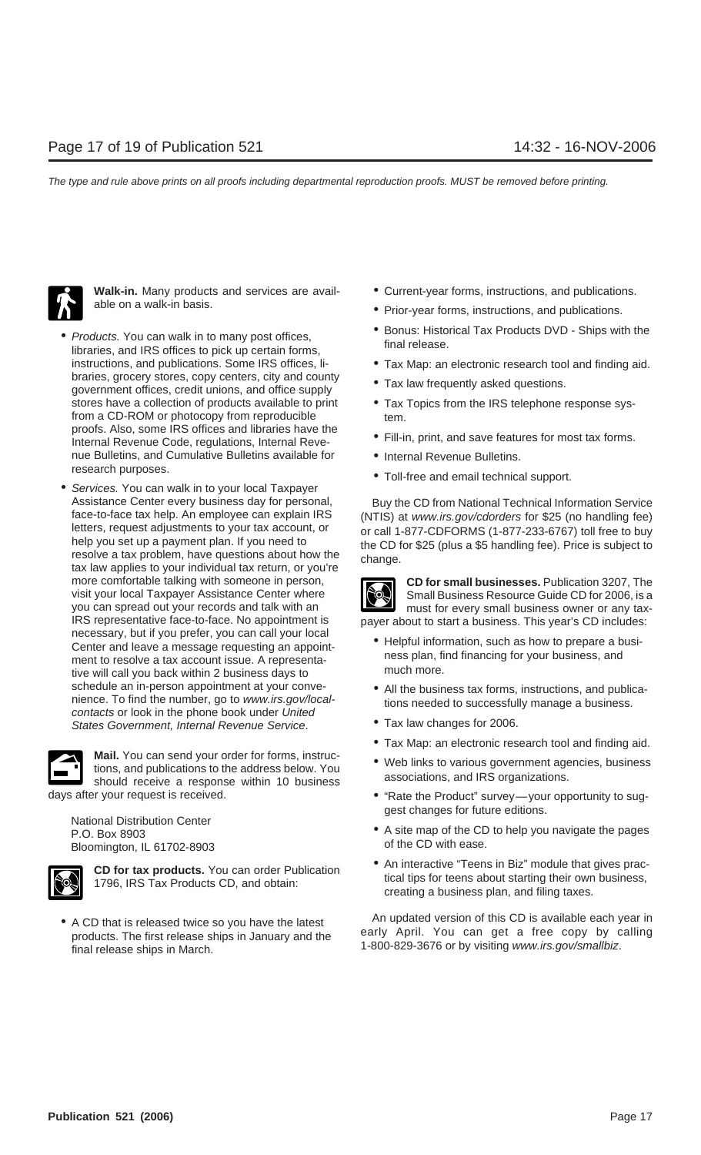

- braries, grocery stores, copy centers, city and county  $\bullet$  Tax law frequently asked questions.<br>government offices, credit unions, and office supply stores have a collection of products available to print • Tax Topics from the IRS telephone response sysfrom a CD-ROM or photocopy from reproducible tem. proofs. Also, some IRS offices and libraries have the • Fill-in, print, and save features for most tax forms.<br>Internal Revenue Code, regulations, Internal Revenue Bulletins, and Cumulative Bulletins available for • Internal Revenue Bulletins.<br>research purposes.
- Services. You can walk in to your local Taxpayer letters, request adjustments to your tax account, or or call 1-877-CDFORMS (1-877-233-6767) toll free to buy<br>help you set up a payment plan. If you need to the CD for \$25 (plus a \$5 handling fee). Price is subject to<br>resol more comfortable talking with someone in person, **CD for small businesses.** Publication 3207, The visit your local Taxpayer Assistance Center where you can spread out your records and talk with an you can spread out your records and talk with an you can spread out your records and talk with an must for every small business owner or any tax-<br>IRS representative face-to-face. No appointment is paver about to start a business. This vear's CD includes: necessary, but if you prefer, you can call your local<br>
Center and leave a message requesting an appoint-<br>
The Helpful information, such as how to prepare a busi-<br>
ness plan, find financing for your business, and<br>
mess plan ment to resolve a tax account issue. A representa-<br>tive will call you back within 2 business days to much more. tive will call you back within 2 business days to schedule an in-person appointment at your conve-<br>
nience. To find the number, go to *www.irs.gov/local*<br>
contacts or look in the phone book under *United*<br>
States Government. Internal Revenue Service.<br> **Case 10.00000000000** States Government, Internal Revenue Service.



**Mail.** You can send your order for forms, instruc-<br>tions, and publications to the address below. You<br>should receive a response within 10 business associations, and IRS organizations.

Bloomington, IL 61702-8903



- Walk-in. Many products and services are avail-<br> **•** Current-year forms, instructions, and publications.
- able on a walk-in basis.  $\bullet$  Prior-year forms, instructions, and publications.
- *Products.* You can walk in to many post offices,  **Products DVD** Ships with the Final release. libraries, and IRS offices to pick up certain forms,
	- instructions, and publications. Some IRS offices, li- Tax Map: an electronic research tool and finding aid.
		-
		-
		-
		-
		- Toll-free and email technical support.

Assistance Center every business day for personal, Buy the CD from National Technical Information Service face-to-face tax help. An employee can explain IRS (NTIS) at *www.irs.gov/cdorders* for \$25 (no handling fee)<br>letters, request adjustments to your tax account, or equiled the real of the CH-877-233-6767) toll free to buy



payer about to start a business. This year's CD includes:

- 
- 
- 
- Tax Map: an electronic research tool and finding aid.
- 
- days after your request is received.  $\bullet$  "Rate the Product" survey—your opportunity to sug-
	- National Distribution Center enter enter enter the CD to help you navigate the pages<br>
	P.O. Box 8903 e A site map of the CD to help you navigate the pages<br>
	Ploomington II 61702-8903 efthe CD with ease.
		- **CD for tax products.** You can order Publication <br>1796, IRS Tax Products CD, and obtain:<br>1796, IRS Tax Products CD, and obtain:<br>creating a business plan, and filing taxes.

• A CD that is released twice so you have the latest<br>products. The first release ships in January and the early April. You can get a free copy by calling<br>final release ships in March. 1-800-829-3676 or by visiting www.irs.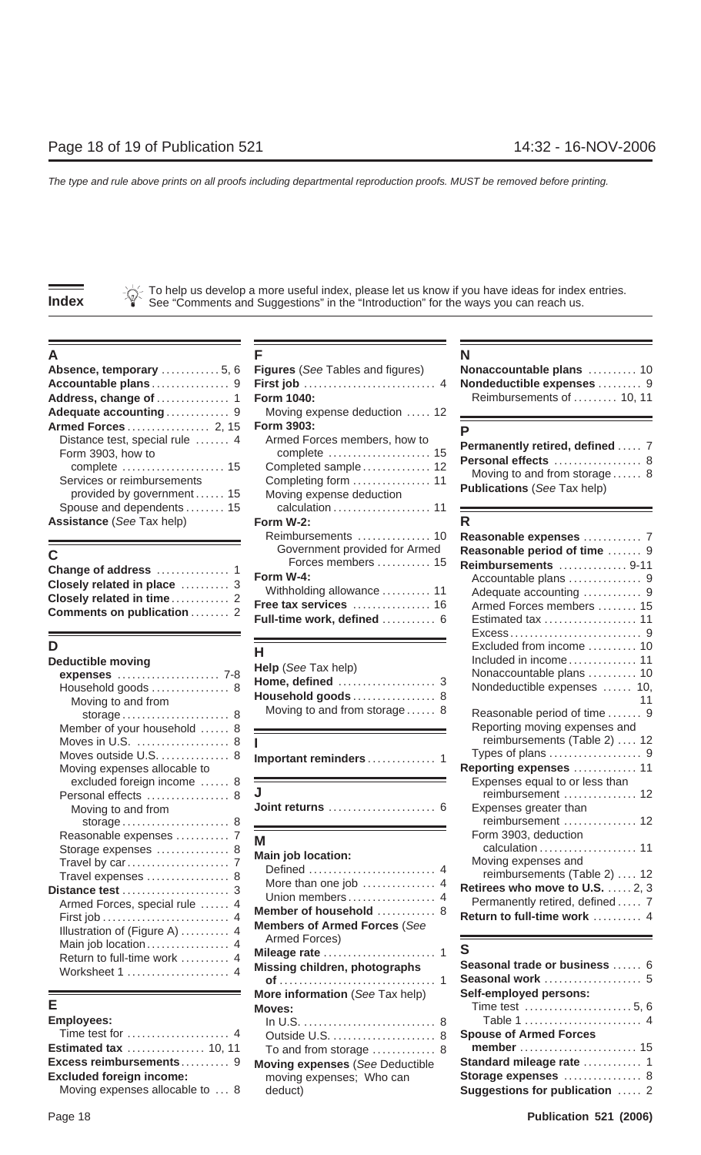To help us develop a more useful index, please let us know if you have ideas for index entries. **Index** See "Comments and Suggestions" in the "Introduction" for the ways you can reach us.

| <b>Absence, temporary</b> 5, 6 Figures (See Tables and figures)                                                                             |                                                                                 | Nonaccountable plans  10                                                                                                     |  |
|---------------------------------------------------------------------------------------------------------------------------------------------|---------------------------------------------------------------------------------|------------------------------------------------------------------------------------------------------------------------------|--|
|                                                                                                                                             | Moving expense deduction  12                                                    | Reimbursements of  10, 11                                                                                                    |  |
| Distance test, special rule  4<br>Form 3903, how to<br>Services or reimbursements<br>provided by government 15<br>Spouse and dependents  15 | Armed Forces members, how to<br>Completed sample 12<br>Moving expense deduction | Permanently retired, defined  7<br>Personal effects  8<br>Moving to and from storage 8<br><b>Publications (See Tax help)</b> |  |
| <b>Assistance</b> (See Tax help)                                                                                                            | Form W-2:                                                                       |                                                                                                                              |  |

| Closely related in place  3       |  |
|-----------------------------------|--|
| Closely related in time 2         |  |
| <b>Comments on publication  2</b> |  |

| <b>Deductible moving</b><br>Household goods  8<br>Moving to and from                                                                                      | Help (See Tax help)<br>Household goods 8<br>Moving to and from storage 8                                                                                    | Included in income 11<br>Nonaccountable plans  10<br>Nondeductible expenses  10,<br>Reasonable period of time  9                                                                 |
|-----------------------------------------------------------------------------------------------------------------------------------------------------------|-------------------------------------------------------------------------------------------------------------------------------------------------------------|----------------------------------------------------------------------------------------------------------------------------------------------------------------------------------|
| Member of your household  8<br>Moves in U.S.  8<br>Moves outside U.S.  8<br>Moving expenses allocable to                                                  | Important reminders 1                                                                                                                                       | Reporting moving expenses and<br>reimbursements (Table 2)  12<br>Reporting expenses  11                                                                                          |
| excluded foreign income  8<br>Personal effects  8<br>Moving to and from                                                                                   |                                                                                                                                                             | Expenses equal to or less than<br>reimbursement  12<br>Expenses greater than<br>reimbursement  12                                                                                |
| Reasonable expenses  7<br>Storage expenses  8<br>Travel expenses  8<br>Distance test  3<br>Armed Forces, special rule  4<br>Illustration of (Figure A)  4 | M<br><b>Main job location:</b><br>More than one job  4<br>Union members 4<br>Member of household  8<br><b>Members of Armed Forces (See</b><br>Armed Forces) | Form 3903, deduction<br>Moving expenses and<br>reimbursements (Table 2)  12<br>Retirees who move to U.S.  2, 3<br>Permanently retired, defined  7<br>Return to full-time work  4 |
| Main job location 4<br>Return to full-time work  4<br>Worksheet 1  4                                                                                      | Missing children, photographs                                                                                                                               | S<br>Seasonal trade or business  6                                                                                                                                               |

| In $U.S.$ |
|-----------|
| Outside   |
| To and    |
| Moving e  |
| moving    |
|           |
|           |

| А                                                                                                                                           |                                                                                                    |                                                                                                                              |
|---------------------------------------------------------------------------------------------------------------------------------------------|----------------------------------------------------------------------------------------------------|------------------------------------------------------------------------------------------------------------------------------|
| Absence, temporary  5, 6                                                                                                                    | <b>Figures</b> (See Tables and figures)                                                            | Nonaccountable plans  10                                                                                                     |
| Accountable plans9                                                                                                                          |                                                                                                    | Nondeductible expenses  9                                                                                                    |
|                                                                                                                                             | <b>Form 1040:</b>                                                                                  | Reimbursements of  10, 11                                                                                                    |
| Adequate accounting 9                                                                                                                       | Moving expense deduction  12                                                                       |                                                                                                                              |
| Armed Forces 2, 15                                                                                                                          | Form 3903:                                                                                         |                                                                                                                              |
| Distance test, special rule  4<br>Form 3903, how to<br>Services or reimbursements<br>provided by government 15<br>Spouse and dependents  15 | Armed Forces members, how to<br>Completed sample 12<br>Moving expense deduction<br>calculation  11 | Permanently retired, defined  7<br>Personal effects  8<br>Moving to and from storage 8<br><b>Publications (See Tax help)</b> |
| <b>Assistance</b> (See Tax help)                                                                                                            | Form W-2:                                                                                          | R                                                                                                                            |
| С<br>Change of address  1                                                                                                                   | Reimbursements  10<br>Government provided for Armed<br>Forces members  15                          | Reasonable expenses  7<br>Reasonable period of time  9<br>Reimbursements  9-11                                               |
| Closely related in place  3<br>Closely related in time 2<br>Comments on publication  2                                                      | Form W-4:<br>Withholding allowance  11<br>Free tax services  16<br>Full-time work, defined  6      | Adequate accounting  9<br>Armed Forces members  15<br>Estimated tax  11                                                      |
|                                                                                                                                             |                                                                                                    |                                                                                                                              |

| Help (See Tax help)          |  |
|------------------------------|--|
|                              |  |
| <b>Household goods</b> 8     |  |
| Moving to and from storage 8 |  |
|                              |  |

|  | Important reminders |  |  |  |  |  |  |  |  |  |  |  |  |
|--|---------------------|--|--|--|--|--|--|--|--|--|--|--|--|
|--|---------------------|--|--|--|--|--|--|--|--|--|--|--|--|

| . טיטטומו טווטטנט 0 |                       |
|---------------------|-----------------------|
| Moving to and from  | Expenses greater than |

| Travel expenses  8<br>stance test  3<br>Armed Forces, special rule  4<br>Illustration of (Figure A)  4<br>Main job location 4<br>Return to full-time work  4<br>Worksheet 1  4 | <b>Main job location:</b><br>More than one job  4<br>Member of household  8<br><b>Members of Armed Forces (See</b><br>Armed Forces)<br>Missing children, photographs | <u> Galguiduott.</u><br>Moving expenses and<br>reimbursements (Table<br>Retirees who move to U.<br>Permanently retired, defi<br>Return to full-time work.<br>S<br>Seasonal trade or busine<br>Seasonal work |
|--------------------------------------------------------------------------------------------------------------------------------------------------------------------------------|----------------------------------------------------------------------------------------------------------------------------------------------------------------------|-------------------------------------------------------------------------------------------------------------------------------------------------------------------------------------------------------------|
| nployees:<br>Time test for  4<br>cess reimbursements 9<br>cluded foreign income:<br><b>M.</b> The state of the state of the state of $\alpha$                                  | More information (See Tax help)<br>Moves:<br>To and from storage  8<br><b>Moving expenses (See Deductible</b><br>moving expenses; Who can                            | Self-employed persons:<br>Time test<br>Table 1<br><b>Spouse of Armed Forces</b><br>member<br>Standard mileage rate<br>Storage expenses<br><b>.</b>                                                          |

| Nonaccountable plans  10  |  |
|---------------------------|--|
| Nondeductible expenses  9 |  |
| Reimbursements of  10, 11 |  |

| Permanently retired, defined  7    |  |
|------------------------------------|--|
| Personal effects  8                |  |
| Moving to and from storage 8       |  |
| <b>Publications</b> (See Tax help) |  |

| <b>Assistance</b> (See Tax neip) | Form w-z:                       | ĸ                                          |
|----------------------------------|---------------------------------|--------------------------------------------|
|                                  | Reimbursements  10              | Reasonable expenses  7                     |
| C                                | Government provided for Armed   | Reasonable period of time  9               |
| Change of address  1             | Forces members  15              | Reimbursements  9-11                       |
| Closely related in place  3      | Form W-4:                       | Accountable plans  9                       |
| Closely related in time 2        | Withholding allowance  11       | Adequate accounting  9                     |
| Comments on publication  2       | Free tax services  16           | Armed Forces members  15                   |
|                                  | Full-time work, defined  6      |                                            |
|                                  |                                 |                                            |
| D                                | H.                              | Excluded from income  10                   |
| <b>Deductible moving</b>         | <b>Help</b> (See Tax help)      | Included in income 11                      |
| expenses  7-8                    | Home, defined  3                | Nonaccountable plans  10                   |
| Household goods  8               | Household goods 8               | Nondeductible expenses  10,                |
| Moving to and from               | Moving to and from storage 8    |                                            |
|                                  |                                 | Reasonable period of time  9               |
| Member of your household  8      |                                 | Reporting moving expenses and              |
| Moves in U.S.  8                 |                                 | reimbursements (Table 2)  12               |
| Moves outside U.S.  8            | Important reminders  1          | Types of plans  9                          |
| Moving expenses allocable to     |                                 | Reporting expenses  11                     |
| excluded foreign income  8       |                                 | Expenses equal to or less than             |
| Personal effects  8              | Joint returns  6                | reimbursement  12                          |
| Moving to and from               |                                 | Expenses greater than<br>reimbursement  12 |
| storage 8                        |                                 |                                            |
| Reasonable expenses  7           | M                               | Form 3903, deduction<br>calculation  11    |
| Storage expenses  8              | Main job location:              | Moving expenses and                        |
|                                  |                                 | reimbursements (Table 2)  12               |
| Travel expenses  8               | More than one job  4            | Retirees who move to U.S.  2, 3            |
| Distance test  3                 | Union members 4                 | Permanently retired, defined  7            |
| Armed Forces, special rule  4    | Member of household  8          | Return to full-time work  4                |
|                                  | surface of America Frances (Oss |                                            |

| Return to full-time work $\ldots \ldots$ 4<br>Worksheet 1  4 | 1<br>Missing children, photographs     | Seasonal trade or business  6<br>Seasonal work  5    |
|--------------------------------------------------------------|----------------------------------------|------------------------------------------------------|
|                                                              | More information (See Tax help)        | Self-employed persons:                               |
| E.                                                           | Moves:                                 | Time test $\dots\dots\dots\dots\dots\dots\dots 5, 6$ |
| <b>Employees:</b>                                            |                                        |                                                      |
|                                                              |                                        | <b>Spouse of Armed Forces</b>                        |
| <b>Estimated tax  10, 11</b>                                 | To and from storage  8                 |                                                      |
| Excess reimbursements 9                                      | <b>Moving expenses (See Deductible</b> |                                                      |
| <b>Excluded foreign income:</b>                              | moving expenses; Who can               | Storage expenses  8                                  |
| Moving expenses allocable to  8                              | deduct)                                | Suggestions for publication  2                       |
|                                                              |                                        |                                                      |